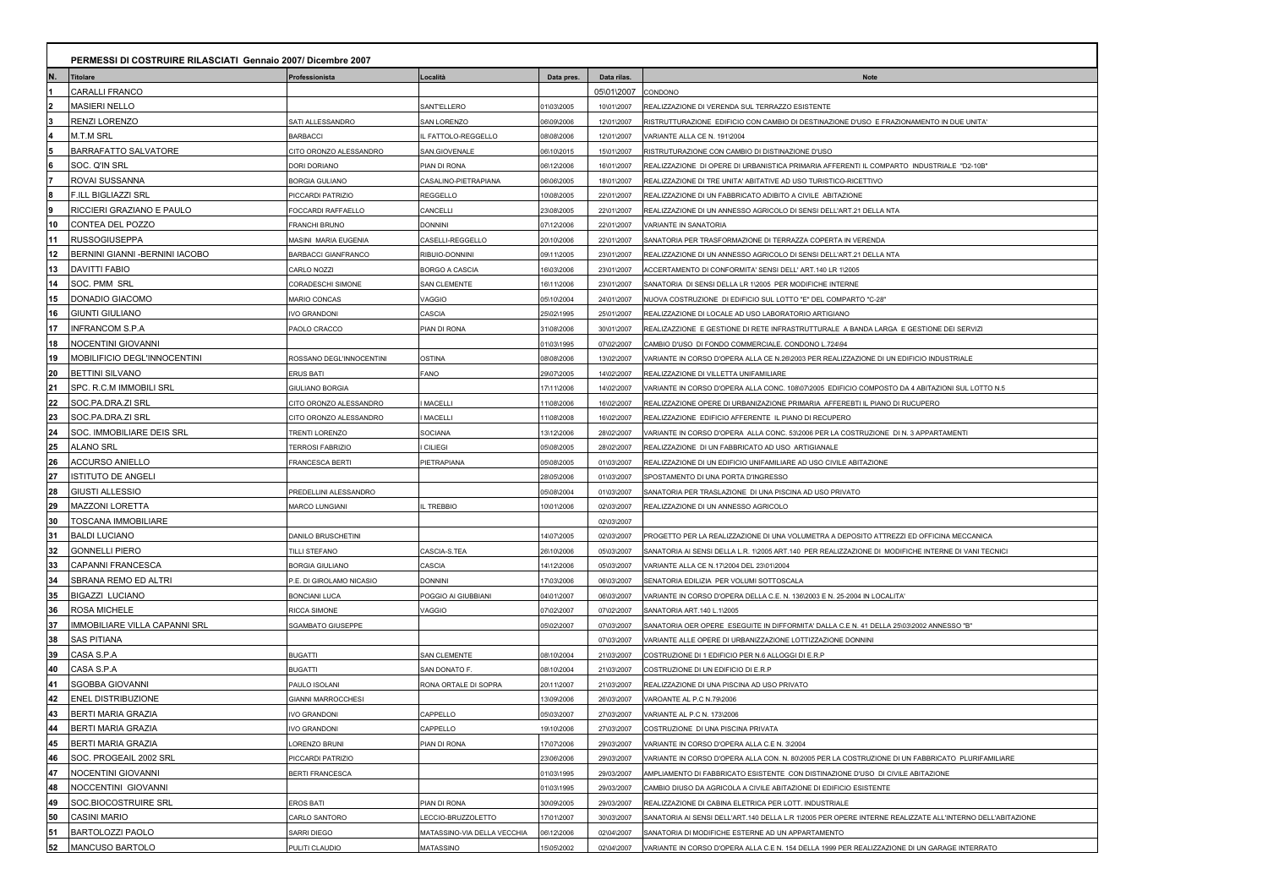| PERMESSI DI COSTRUIRE RILASCIATI Gennaio 2007/ Dicembre 2007 |                                 |                            |                             |            |             |                                                                                                           |
|--------------------------------------------------------------|---------------------------------|----------------------------|-----------------------------|------------|-------------|-----------------------------------------------------------------------------------------------------------|
|                                                              | <b>Titolare</b>                 | Professionista             | .ocalità                    | Data pres  | Data rilas. | <b>Note</b>                                                                                               |
|                                                              | CARALLI FRANCO                  |                            |                             |            | 05\01\2007  | CONDONO                                                                                                   |
|                                                              | <b>MASIERI NELLO</b>            |                            | SANT'ELLERO                 | 1\03\2005  | 10\01\2007  | REALIZZAZIONE DI VERENDA SUL TERRAZZO ESISTENTE                                                           |
|                                                              | RENZI LORENZO                   | SATI ALLESSANDRO           | SAN LORENZO                 | 06\09\2006 | 12\01\2007  | RISTRUTTURAZIONE EDIFICIO CON CAMBIO DI DESTINAZIONE D'USO E FRAZIONAMENTO IN DUE UNITA'                  |
| 14                                                           | <b>M.T.M SRL</b>                | BARBACCI                   | L FATTOLO-REGGELLO          | 08\08\2006 | 12\01\2007  | VARIANTE ALLA CE N. 191\2004                                                                              |
|                                                              | BARRAFATTO SALVATORE            | CITO ORONZO ALESSANDRO     | SAN.GIOVENALE               | 06\10\2015 | 15\01\2007  | RISTRUTURAZIONE CON CAMBIO DI DISTINAZIONE D'USO                                                          |
|                                                              | SOC. Q'IN SRL                   | ORI DORIANO                | PIAN DI RONA                | 06\12\2006 | 16\01\2007  | REALIZZAZIONE DI OPERE DI URBANISTICA PRIMARIA AFFERENTI IL COMPARTO INDUSTRIALE "D2-10B"                 |
|                                                              | ROVAI SUSSANNA                  | BORGIA GULIANO             | CASALINO-PIETRAPIANA        | 06\06\2005 | 18\01\2007  | REALIZZAZIONE DI TRE UNITA' ABITATIVE AD USO TURISTICO-RICETTIVO                                          |
|                                                              | <b>F.ILL BIGLIAZZI SRL</b>      | PICCARDI PATRIZIO          | REGGELLO                    | 0\08\2005  | 22\01\2007  | REALIZZAZIONE DI UN FABBRICATO ADIBITO A CIVILE ABITAZIONE                                                |
| 9                                                            | RICCIERI GRAZIANO E PAULO       | OCCARDI RAFFAELLO          | CANCELLI                    | 23\08\2005 | 22\01\2007  | REALIZZAZIONE DI UN ANNESSO AGRICOLO DI SENSI DELL'ART.21 DELLA NTA                                       |
| 10                                                           | CONTEA DEL POZZO                | <b>RANCHI BRUNO</b>        | DONNINI                     | 17\12\2006 | 22\01\2007  | VARIANTE IN SANATORIA                                                                                     |
| 11                                                           | RUSSOGIUSEPPA                   | MASINI MARIA EUGENIA       | CASELLI-REGGELLO            | 20\10\2006 | 22\01\2007  | SANATORIA PER TRASFORMAZIONE DI TERRAZZA COPERTA IN VERENDA                                               |
| 12                                                           | BERNINI GIANNI - BERNINI IACOBO | <b>BARBACCI GIANFRANCO</b> | RIBUIO-DONNINI              | 09\11\2005 | 23\01\2007  | REALIZZAZIONE DI UN ANNESSO AGRICOLO DI SENSI DELL'ART.21 DELLA NTA                                       |
| 13                                                           | DAVITTI FABIO                   | CARLO NOZZI                | BORGO A CASCIA              | 6\03\2006  | 23\01\2007  | ACCERTAMENTO DI CONFORMITA' SENSI DELL' ART.140 LR 1\2005                                                 |
| 14                                                           | SOC. PMM SRL                    | CORADESCHI SIMONE          | SAN CLEMENTE                | 6\11\2006  | 23\01\2007  | SANATORIA DI SENSI DELLA LR 1\2005 PER MODIFICHE INTERNE                                                  |
| 15                                                           | DONADIO GIACOMO                 | MARIO CONCAS               | VAGGIO                      | 05\10\2004 | 24\01\2007  | NUOVA COSTRUZIONE DI EDIFICIO SUL LOTTO "E" DEL COMPARTO "C-28"                                           |
| 16                                                           | <b>GIUNTI GIULIANO</b>          | VO GRANDONI                | CASCIA                      | 25\02\1995 | 25\01\2007  | REALIZZAZIONE DI LOCALE AD USO LABORATORIO ARTIGIANO                                                      |
| 17                                                           | <b>INFRANCOM S.P.A</b>          | AOLO CRACCO                | PIAN DI RONA                | 31\08\2006 | 30\01\2007  | REALIZAZZIONE E GESTIONE DI RETE INFRASTRUTTURALE A BANDA LARGA E GESTIONE DEI SERVIZI                    |
| 18                                                           | NOCENTINI GIOVANNI              |                            |                             | 1\03\1995  | 07\02\2007  | CAMBIO D'USO DI FONDO COMMERCIALE. CONDONO L.724\94                                                       |
| 19                                                           | MOBILIFICIO DEGL'INNOCENTINI    | ROSSANO DEGL'INNOCENTINI   | OSTINA                      | 08\08\2006 | 13\02\2007  | VARIANTE IN CORSO D'OPERA ALLA CE N.26\2003 PER REALIZZAZIONE DI UN EDIFICIO INDUSTRIALE                  |
| 20                                                           | <b>BETTINI SILVANO</b>          | <b>ERUS BATI</b>           | FANO                        | 29\07\2005 | 14\02\2007  | REALIZZAZIONE DI VILLETTA UNIFAMILIARE                                                                    |
| 21                                                           | SPC. R.C.M IMMOBILI SRL         | <b>GIULIANO BORGIA</b>     |                             | 7\11\2006  | 14\02\2007  | VARIANTE IN CORSO D'OPERA ALLA CONC. 108\07\2005 EDIFICIO COMPOSTO DA 4 ABITAZIONI SUL LOTTO N.5          |
| 22                                                           | SOC.PA.DRA.ZI SRL               | CITO ORONZO ALESSANDRO     | <b>MACELLI</b>              | 1\08\2006  | 16\02\2007  | REALIZZAZIONE OPERE DI URBANIZAZIONE PRIMARIA AFFEREBTI IL PIANO DI RUCUPERO                              |
| 23                                                           | SOC.PA.DRA.ZI SRL               | CITO ORONZO ALESSANDRO     | <b>MACELLI</b>              | 1\08\2008  | 16\02\2007  | REALIZZAZIONE EDIFICIO AFFERENTE IL PIANO DI RECUPERO                                                     |
| 24                                                           | SOC. IMMOBILIARE DEIS SRL       | TRENTI LORENZO             | SOCIANA                     | 13\12\2006 | 28\02\2007  | VARIANTE IN CORSO D'OPERA ALLA CONC. 53\2006 PER LA COSTRUZIONE DI N. 3 APPARTAMENTI                      |
| 25                                                           | <b>ALANO SRL</b>                | <b>TERROSI FABRIZIO</b>    | <b>CILIEGI</b>              | 05\08\2005 | 28\02\2007  | REALIZZAZIONE DI UN FABBRICATO AD USO ARTIGIANALE                                                         |
| 26                                                           | ACCURSO ANIELLO                 | FRANCESCA BERTI            | PIETRAPIANA                 | 05\08\2005 | 01\03\2007  | REALIZZAZIONE DI UN EDIFICIO UNIFAMILIARE AD USO CIVILE ABITAZIONE                                        |
| 27                                                           | ISTITUTO DE ANGELI              |                            |                             | 28\05\2006 | 01\03\2007  | SPOSTAMENTO DI UNA PORTA D'INGRESSO                                                                       |
| 28                                                           | <b>GIUSTI ALLESSIO</b>          | PREDELLINI ALESSANDRO      |                             | 05\08\2004 | 01\03\2007  | SANATORIA PER TRASLAZIONE DI UNA PISCINA AD USO PRIVATO                                                   |
| 29                                                           | MAZZONI LORETTA                 | <b>MARCO LUNGIANI</b>      | L TREBBIO                   | 0\01\2006  | 02\03\2007  | REALIZZAZIONE DI UN ANNESSO AGRICOLO                                                                      |
| 30                                                           | TOSCANA IMMOBILIARE             |                            |                             |            | 02\03\2007  |                                                                                                           |
| 31                                                           | <b>BALDI LUCIANO</b>            | <b>DANILO BRUSCHETINI</b>  |                             | 14\07\2005 | 02\03\2007  | PROGETTO PER LA REALIZZAZIONE DI UNA VOLUMETRA A DEPOSITO ATTREZZI ED OFFICINA MECCANICA                  |
| 32                                                           | GONNELLI PIERO                  | <b>TILLI STEFANO</b>       | CASCIA-S.TEA                | 26\10\2006 | 05\03\2007  | SANATORIA AI SENSI DELLA L.R. 1\2005 ART.140 PER REALIZZAZIONE DI MODIFICHE INTERNE DI VANI TECNICI       |
| 33                                                           | CAPANNI FRANCESCA               | <b>BORGIA GIULIANO</b>     | CASCIA                      | 4\12\2006  | 05\03\2007  | VARIANTE ALLA CE N.17\2004 DEL 23\01\2004                                                                 |
| 34                                                           | SBRANA REMO ED ALTRI            | P.E. DI GIROLAMO NICASIO   | DONNINI                     | 7\03\2006  | 06\03\2007  | SENATORIA EDILIZIA PER VOLUMI SOTTOSCALA                                                                  |
| 35                                                           | <b>BIGAZZI LUCIANO</b>          | BONCIANI LUCA              | POGGIO AI GIUBBIANI         | 04\01\2007 | 06\03\2007  | VARIANTE IN CORSO D'OPERA DELLA C.E. N. 136\2003 E N. 25-2004 IN LOCALITA'                                |
| 36                                                           | ROSA MICHELE                    | RICCA SIMONE               | VAGGIO                      | 17\02\2007 | 07\02\2007  | SANATORIA ART.140 L.1\2005                                                                                |
| 37                                                           | IMMOBILIARE VILLA CAPANNI SRL   | <b>SGAMBATO GIUSEPPE</b>   |                             | 05\02\2007 | 07\03\2007  | SANATORIA OER OPERE ESEGUITE IN DIFFORMITA' DALLA C.E N. 41 DELLA 25\03\2002 ANNESSO "B"                  |
| 38                                                           | <b>SAS PITIANA</b>              |                            |                             |            | 07\03\2007  | VARIANTE ALLE OPERE DI URBANIZZAZIONE LOTTIZZAZIONE DONNINI                                               |
| 39                                                           | CASA S.P.A                      | <b>BUGATTI</b>             | SAN CLEMENTE                | 08\10\2004 | 21\03\2007  | COSTRUZIONE DI 1 EDIFICIO PER N.6 ALLOGGI DI E.R.P                                                        |
| 40                                                           | CASA S.P.A                      | BUGATTI                    | SAN DONATO F.               | 08\10\2004 | 21\03\2007  | COSTRUZIONE DI UN EDIFICIO DI E.R.P                                                                       |
| 41                                                           | SGOBBA GIOVANNI                 | AULO ISOLANI               | RONA ORTALE DI SOPRA        | 201112007  | 21\03\2007  | REALIZZAZIONE DI UNA PISCINA AD USO PRIVATO                                                               |
| 42                                                           | ENEL DISTRIBUZIONE              | <b>GIANNI MARROCCHESI</b>  |                             | 3\09\2006  | 26\03\2007  | VAROANTE AL P.C N.79\2006                                                                                 |
| 43                                                           | <b>BERTI MARIA GRAZIA</b>       | <b>IVO GRANDONI</b>        | CAPPELLO                    | 05\03\2007 | 27\03\2007  | VARIANTE AL P.C N. 173\2006                                                                               |
| 44                                                           | <b>BERTI MARIA GRAZIA</b>       | VO GRANDONI                | CAPPELLO                    | 19\10\2006 | 27\03\2007  | COSTRUZIONE DI UNA PISCINA PRIVATA                                                                        |
| 45                                                           | <b>BERTI MARIA GRAZIA</b>       | ORENZO BRUNI               | PIAN DI RONA                | 17\07\2006 | 29\03\2007  | VARIANTE IN CORSO D'OPERA ALLA C.E N. 3\2004                                                              |
| 46                                                           | SOC. PROGEAIL 2002 SRL          | PICCARDI PATRIZIO          |                             | 23\06\2006 | 29\03\2007  | VARIANTE IN CORSO D'OPERA ALLA CON. N. 80\2005 PER LA COSTRUZIONE DI UN FABBRICATO PLURIFAMILIARE         |
| 47                                                           | NOCENTINI GIOVANNI              | BERTI FRANCESCA            |                             | 1\03\1995  | 29/03/2007  | AMPLIAMENTO DI FABBRICATO ESISTENTE CON DISTINAZIONE D'USO DI CIVILE ABITAZIONE                           |
| 48                                                           | NOCCENTINI GIOVANNI             |                            |                             | 1\03\1995  | 29/03/2007  | CAMBIO DIUSO DA AGRICOLA A CIVILE ABITAZIONE DI EDIFICIO ESISTENTE                                        |
| 49                                                           | SOC.BIOCOSTRUIRE SRL            | EROS BATI                  | PIAN DI RONA                | 30\09\2005 | 29/03/2007  | REALIZZAZIONE DI CABINA ELETRICA PER LOTT. INDUSTRIALE                                                    |
| 50                                                           | <b>CASINI MARIO</b>             | CARLO SANTORO              | LECCIO-BRUZZOLETTO          | 17\01\2007 | 30\03\2007  | SANATORIA AI SENSI DELL'ART.140 DELLA L.R 1\2005 PER OPERE INTERNE REALIZZATE ALL'INTERNO DELL'ABITAZIONE |
| 51                                                           | BARTOLOZZI PAOLO                | SARRI DIEGO                | MATASSINO-VIA DELLA VECCHIA | 06\12\2006 | 02\04\2007  | SANATORIA DI MODIFICHE ESTERNE AD UN APPARTAMENTO                                                         |
| 52                                                           | MANCUSO BARTOLO                 | PULITI CLAUDIO             | MATASSINO                   | 5\05\2002  | 02\04\2007  | VARIANTE IN CORSO D'OPERA ALLA C.E N. 154 DELLA 1999 PER REALIZZAZIONE DI UN GARAGE INTERRATO             |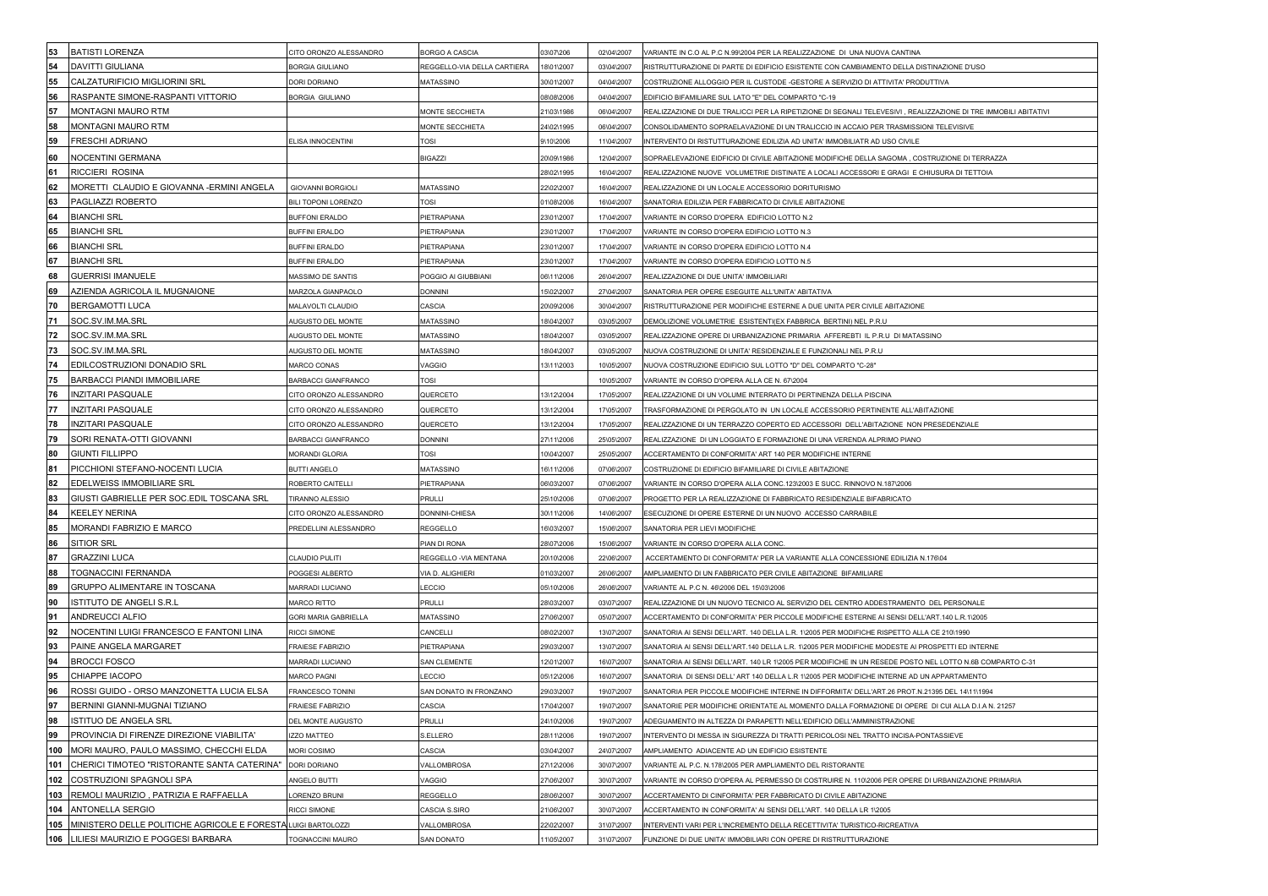| 53       | <b>BATISTI LORENZA</b>                                        | CITO ORONZO ALESSANDRO                | BORGO A CASCIA               | 03\07\206                | 02\04\2007               | VARIANTE IN C.O AL P.C N.99\2004 PER LA REALIZZAZIONE DI UNA NUOVA CANTINA                                                        |
|----------|---------------------------------------------------------------|---------------------------------------|------------------------------|--------------------------|--------------------------|-----------------------------------------------------------------------------------------------------------------------------------|
| 54       | DAVITTI GIULIANA                                              | <b>BORGIA GIULIANO</b>                | REGGELLO-VIA DELLA CARTIERA  | 18\01\2007               | 03\04\2007               | RISTRUTTURAZIONE DI PARTE DI EDIFICIO ESISTENTE CON CAMBIAMENTO DELLA DISTINAZIONE D'USO                                          |
| 55       | CALZATURIFICIO MIGLIORINI SRL                                 | DORI DORIANO                          | MATASSINO                    | 30\01\2007               | 04\04\2007               | COSTRUZIONE ALLOGGIO PER IL CUSTODE -GESTORE A SERVIZIO DI ATTIVITA' PRODUTTIVA                                                   |
| 56       | RASPANTE SIMONE-RASPANTI VITTORIO                             | <b>BORGIA GIULIANO</b>                |                              | 08\08\2006               | 04\04\2007               | EDIFICIO BIFAMILIARE SUL LATO "E" DEL COMPARTO "C-19                                                                              |
| 57       | MONTAGNI MAURO RTM                                            |                                       | MONTE SECCHIETA              | 21\03\1986               | 06\04\2007               | REALIZZAZIONE DI DUE TRALICCI PER LA RIPETIZIONE DI SEGNALI TELEVESIVI , REALIZZAZIONE DI TRE IMMOBILI ABITATIVI                  |
| 58       | MONTAGNI MAURO RTM                                            |                                       | MONTE SECCHIETA              | 24\02\1995               | 06\04\2007               | CONSOLIDAMENTO SOPRAELAVAZIONE DI UN TRALICCIO IN ACCAIO PER TRASMISSIONI TELEVISIVE                                              |
| 59       | FRESCHI ADRIANO                                               | ELISA INNOCENTINI                     | TOSI                         | 9\10\2006                | 11\04\2007               | INTERVENTO DI RISTUTTURAZIONE EDILIZIA AD UNITA' IMMOBILIATR AD USO CIVILE                                                        |
| 60       | NOCENTINI GERMANA                                             |                                       | <b>BIGAZZI</b>               | 20\09\1986               | 12\04\2007               | SOPRAELEVAZIONE EIDFICIO DI CIVILE ABITAZIONE MODIFICHE DELLA SAGOMA , COSTRUZIONE DI TERRAZZA                                    |
| 61       | RICCIERI ROSINA                                               |                                       |                              | 28\02\1995               | 16\04\2007               | EALIZZAZIONE NUOVE VOLUMETRIE DISTINATE A LOCALI ACCESSORI E GRAGI E CHIUSURA DI TETTOIA                                          |
| 62       | MORETTI CLAUDIO E GIOVANNA -ERMINI ANGELA                     | <b>GIOVANNI BORGIOLI</b>              | <b>MATASSINO</b>             | 22\02\2007               | 16\04\2007               | REALIZZAZIONE DI UN LOCALE ACCESSORIO DORITURISMO                                                                                 |
| 63       | PAGLIAZZI ROBERTO                                             | BILI TOPONI LORENZO                   | <b>TOSI</b>                  | 1\08\2006                | 16\04\2007               | SANATORIA EDILIZIA PER FABBRICATO DI CIVILE ABITAZIONE                                                                            |
| 64       | <b>BIANCHI SRL</b>                                            | <b>BUFFONI ERALDO</b>                 | PIETRAPIANA                  | 23\01\2007               | 17\04\2007               | <b>/ARIANTE IN CORSO D'OPERA EDIFICIO LOTTO N.2</b>                                                                               |
| 65       | <b>BIANCHI SRL</b>                                            | <b>BUFFINI ERALDO</b>                 | PIETRAPIANA                  | 23\01\2007               | 17\04\2007               | ARIANTE IN CORSO D'OPERA EDIFICIO LOTTO N.3                                                                                       |
| 66       | <b>BIANCHI SRL</b>                                            | <b>BUFFINI ERALDO</b>                 | PIETRAPIANA                  | 23\01\2007               | 17\04\2007               | ARIANTE IN CORSO D'OPERA EDIFICIO LOTTO N.4                                                                                       |
| 67       | <b>BIANCHI SRL</b>                                            | <b>BUFFINI ERALDO</b>                 | PIETRAPIANA                  | 23\01\2007               | 17\04\2007               | ARIANTE IN CORSO D'OPERA EDIFICIO LOTTO N.5                                                                                       |
| 68       | GUERRISI IMANUELE                                             | MASSIMO DE SANTIS                     | POGGIO AI GIUBBIANI          | 06\11\2006               | 26\04\2007               | REALIZZAZIONE DI DUE UNITA' IMMOBILIARI                                                                                           |
| 69       | AZIENDA AGRICOLA IL MUGNAIONE                                 | MARZOLA GIANPAOLO                     | <b>DONNINI</b>               | 5\02\2007                | 27\04\2007               | SANATORIA PER OPERE ESEGUITE ALL'UNITA' ABITATIVA                                                                                 |
| 70       | <b>BERGAMOTTI LUCA</b>                                        | MALAVOLTI CLAUDIO                     | CASCIA                       | 20\09\2006               | 30\04\2007               | ISTRUTTURAZIONE PER MODIFICHE ESTERNE A DUE UNITA PER CIVILE ABITAZIONE                                                           |
| 71       | SOC.SV.IM.MA.SRL                                              | AUGUSTO DEL MONTE                     | MATASSINO                    | 18\04\2007               | 03\05\2007               | DEMOLIZIONE VOLUMETRIE ESISTENTI(EX FABBRICA BERTINI) NEL P.R.U                                                                   |
| 72       | SOC.SV.IM.MA.SRL                                              | AUGUSTO DEL MONTE                     | <b>MATASSINO</b>             | 18\04\2007               | 03\05\2007               | REALIZZAZIONE OPERE DI URBANIZAZIONE PRIMARIA AFFEREBTI IL P.R.U DI MATASSINO                                                     |
| 73       | SOC.SV.IM.MA.SRL                                              | AUGUSTO DEL MONTE                     | MATASSINO                    | 18\04\2007               | 03\05\2007               | NUOVA COSTRUZIONE DI UNITA' RESIDENZIALE E FUNZIONALI NEL P.R.U                                                                   |
| 74       | EDILCOSTRUZIONI DONADIO SRL                                   | <b>MARCO CONAS</b>                    | /AGGIO                       | 13\11\2003               | 10\05\2007               | NUOVA COSTRUZIONE EDIFICIO SUL LOTTO "D" DEL COMPARTO "C-28"                                                                      |
| 75       | BARBACCI PIANDI IMMOBILIARE                                   | BARBACCI GIANFRANCO                   | TOSI                         |                          | 10\05\2007               | /ARIANTE IN CORSO D'OPERA ALLA CE N. 67\2004                                                                                      |
| 76       | <b>INZITARI PASQUALE</b>                                      | CITO ORONZO ALESSANDRO                | QUERCETO                     | 13\12\2004               | 17\05\2007               | REALIZZAZIONE DI UN VOLUME INTERRATO DI PERTINENZA DELLA PISCINA                                                                  |
| 77       | <b>INZITARI PASQUALE</b>                                      | CITO ORONZO ALESSANDRO                | QUERCETO                     | 13\12\2004               | 17\05\2007               | TRASFORMAZIONE DI PERGOLATO IN UN LOCALE ACCESSORIO PERTINENTE ALL'ABITAZIONE                                                     |
| 78       | INZITARI PASQUALE                                             | CITO ORONZO ALESSANDRO                | QUERCETO                     | 13\12\2004               | 17\05\2007               | REALIZZAZIONE DI UN TERRAZZO COPERTO ED ACCESSORI DELL'ABITAZIONE NON PRESEDENZIALE                                               |
| 79       | SORI RENATA-OTTI GIOVANNI                                     | BARBACCI GIANFRANCO                   | <b>ININNO</b> C              | 27\11\2006               | 25\05\2007               | REALIZZAZIONE DI UN LOGGIATO E FORMAZIONE DI UNA VERENDA ALPRIMO PIANO                                                            |
| 80       | <b>GIUNTI FILLIPPO</b>                                        | MORANDI GLORIA                        | <b>TOSI</b>                  | 10\04\2007               | 25\05\2007               | ACCERTAMENTO DI CONFORMITA' ART 140 PER MODIFICHE INTERNE                                                                         |
| 81       | PICCHIONI STEFANO-NOCENTI LUCIA                               | <b>BUTTI ANGELO</b>                   | <b>MATASSINO</b>             | 16\11\2006               | 07\06\2007               | COSTRUZIONE DI EDIFICIO BIFAMILIARE DI CIVILE ABITAZIONE                                                                          |
| 82       | EDELWEISS IMMOBILIARE SRL                                     | ROBERTO CAITELLI                      | PIETRAPIANA                  | 06\03\2007               | 07\06\2007               | /ARIANTE IN CORSO D'OPERA ALLA CONC.123\2003 E SUCC. RINNOVO N.187\2006                                                           |
| 83       | GIUSTI GABRIELLE PER SOC.EDIL TOSCANA SRL                     | <b>TIRANNO ALESSIO</b>                | PRULLI                       | 25\10\2006               | 07\06\2007               | PROGETTO PER LA REALIZZAZIONE DI FABBRICATO RESIDENZIALE BIFABRICATO                                                              |
| 84       | KEELEY NERINA                                                 | CITO ORONZO ALESSANDRO                | DONNINI-CHIESA               | 30\11\2006               | 14\06\2007               | SECUZIONE DI OPERE ESTERNE DI UN NUOVO ACCESSO CARRABILE                                                                          |
| 85       | MORANDI FABRIZIO E MARCO                                      | PREDELLINI ALESSANDRO                 | REGGELLO                     | 16\03\2007               | 15\06\2007               | SANATORIA PER LIEVI MODIFICHE                                                                                                     |
| 86       | SITIOR SRL                                                    |                                       | PIAN DI RONA                 | 28\07\2006               | 15\06\2007               | VARIANTE IN CORSO D'OPERA ALLA CONC.                                                                                              |
| 87       | <b>GRAZZINI LUCA</b>                                          | CLAUDIO PULITI                        | REGGELLO -VIA MENTANA        | 20\10\2006               | 22\06\2007               | ACCERTAMENTO DI CONFORMITA' PER LA VARIANTE ALLA CONCESSIONE EDILIZIA N.176\04                                                    |
| 88       | TOGNACCINI FERNANDA                                           | POGGESI ALBERTO                       | /IA D. ALIGHIERI             | 01\03\2007               | 26\06\2007               | AMPLIAMENTO DI UN FABBRICATO PER CIVILE ABITAZIONE BIFAMILIARE                                                                    |
| 89<br>90 | GRUPPO ALIMENTARE IN TOSCANA<br>ISTITUTO DE ANGELI S.R.L      | MARRADI LUCIANO<br><b>MARCO RITTO</b> | <b>ECCIO</b><br><b>RULLI</b> | 05\10\2006<br>28\03\2007 | 26\06\2007<br>03\07\2007 | /ARIANTE AL P.C N. 46\2006 DEL 15\03\2006<br>REALIZZAZIONE DI UN NUOVO TECNICO AL SERVIZIO DEL CENTRO ADDESTRAMENTO DEL PERSONALE |
| 91       | ANDREUCCI ALFIO                                               | <b>GORI MARIA GABRIELLA</b>           | MATASSINO                    | 27\06\2007               | 05\07\2007               | ACCERTAMENTO DI CONFORMITA' PER PICCOLE MODIFICHE ESTERNE AI SENSI DELL'ART.140 L.R.1\2005                                        |
| 92       | NOCENTINI LUIGI FRANCESCO E FANTONI LINA                      | RICCI SIMONE                          | CANCELLI                     | 08\02\2007               | 13\07\2007               | SANATORIA AI SENSI DELL'ART. 140 DELLA L.R. 1\2005 PER MODIFICHE RISPETTO ALLA CE 210\1990                                        |
| 93       | PAINE ANGELA MARGARET                                         | <b>FRAIESE FABRIZIO</b>               | <b>PIETRAPIANA</b>           | 29\03\2007               | 13\07\2007               | SANATORIA AI SENSI DELL'ART.140 DELLA L.R. 1\2005 PER MODIFICHE MODESTE AI PROSPETTI ED INTERNE                                   |
| 94       | <b>BROCCI FOSCO</b>                                           | MARRADI LUCIANO                       | SAN CLEMENTE                 | 12\01\2007               | 16\07\2007               | SANATORIA AI SENSI DELL'ART. 140 LR 1\2005 PER MODIFICHE IN UN RESEDE POSTO NEL LOTTO N.6B COMPARTO C-31                          |
| 95       | CHIAPPE IACOPO                                                | <b>MARCO PAGNI</b>                    | <b>ECCIO</b>                 | 05\12\2006               | 16\07\2007               | SANATORIA DI SENSI DELL'ART 140 DELLA L.R 1\2005 PER MODIFICHE INTERNE AD UN APPARTAMENTO                                         |
| 96       | ROSSI GUIDO - ORSO MANZONETTA LUCIA ELSA                      | <b>FRANCESCO TONINI</b>               | SAN DONATO IN FRONZANO       | 29\03\2007               | 19\07\2007               | SANATORIA PER PICCOLE MODIFICHE INTERNE IN DIFFORMITA' DELL'ART.26 PROT.N.21395 DEL 14\11\1994                                    |
| 97       | BERNINI GIANNI-MUGNAI TIZIANO                                 | <b>FRAIESE FABRIZIO</b>               | CASCIA                       | 17\04\2007               | 19\07\2007               | SANATORIE PER MODIFICHE ORIENTATE AL MOMENTO DALLA FORMAZIONE DI OPERE DI CUI ALLA D.I.A N. 21257                                 |
| 98       | ISTITUO DE ANGELA SRL                                         | DEL MONTE AUGUSTO                     | PRULLI                       | 24\10\2006               |                          | 19\07\2007 ADEGUAMENTO IN ALTEZZA DI PARAPETTI NELL'EDIFICIO DELL'AMMINISTRAZIONE                                                 |
| 99       | PROVINCIA DI FIRENZE DIREZIONE VIABILITA'                     | <b>IZZO MATTEO</b>                    | S.ELLERO                     | 28\11\2006               | 19\07\2007               | INTERVENTO DI MESSA IN SIGUREZZA DI TRATTI PERICOLOSI NEL TRATTO INCISA-PONTASSIEVE                                               |
|          | 100 MORI MAURO, PAULO MASSIMO, CHECCHI ELDA                   | MORI COSIMO                           | CASCIA                       | 03\04\2007               | 24\07\2007               | AMPLIAMENTO ADIACENTE AD UN EDIFICIO ESISTENTE                                                                                    |
|          | 101 CHERICI TIMOTEO "RISTORANTE SANTA CATERINA"               | DORI DORIANO                          | <b>VALLOMBROSA</b>           | 27\12\2006               | 30\07\2007               | /ARIANTE AL P.C. N.178\2005 PER AMPLIAMENTO DEL RISTORANTE                                                                        |
| 102      | COSTRUZIONI SPAGNOLI SPA                                      | ANGELO BUTTI                          | <b>/AGGIO</b>                | 27\06\2007               | 30\07\2007               | ARIANTE IN CORSO D'OPERA AL PERMESSO DI COSTRUIRE N. 110\2006 PER OPERE DI URBANIZAZIONE PRIMARIA/                                |
| 103      | REMOLI MAURIZIO, PATRIZIA E RAFFAELLA                         | LORENZO BRUNI                         | REGGELLO                     | 28\06\2007               | 30\07\2007               | ACCERTAMENTO DI CINFORMITA' PER FABBRICATO DI CIVILE ABITAZIONE                                                                   |
|          | 104 ANTONELLA SERGIO                                          | RICCI SIMONE                          | CASCIA S.SIRO                | 21\06\2007               | 30\07\2007               | ACCERTAMENTO IN CONFORMITA' AI SENSI DELL'ART. 140 DELLA LR 1\2005                                                                |
| 105      | MINISTERO DELLE POLITICHE AGRICOLE E FORESTA LUIGI BARTOLOZZI |                                       | <b>VALLOMBROSA</b>           | 22\02\2007               | 31\07\2007               | INTERVENTI VARI PER L'INCREMENTO DELLA RECETTIVITA' TURISTICO-RICREATIVA                                                          |
|          | 106 LILIESI MAURIZIO E POGGESI BARBARA                        | TOGNACCINI MAURO                      | SAN DONATO                   | 1\05\2007                | 31\07\2007               | FUNZIONE DI DUE UNITA' IMMOBILIARI CON OPERE DI RISTRUTTURAZIONE                                                                  |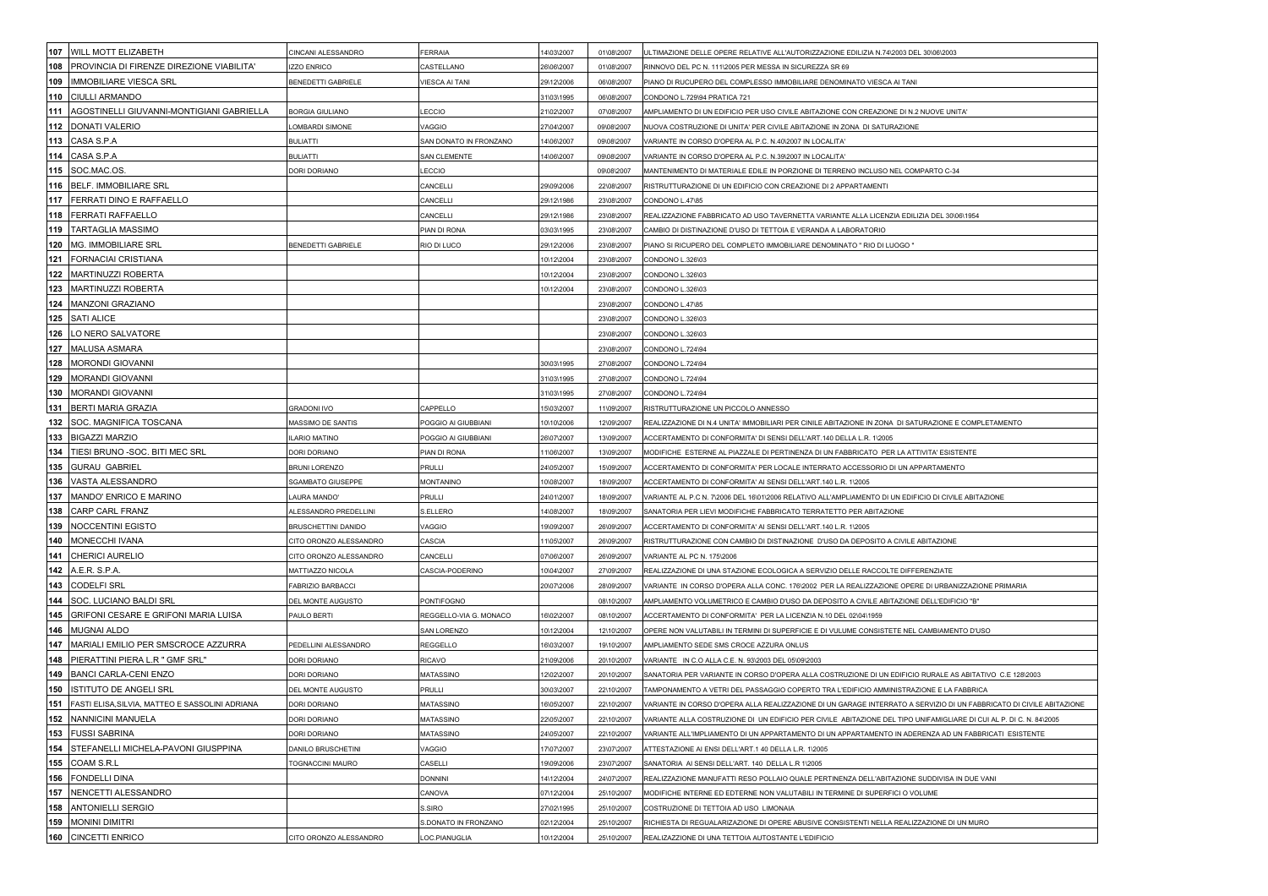|            | 107 WILL MOTT ELIZABETH                                | CINCANI ALESSANDRO                | <b>ERRAIA</b>               | 14\03\2007               | 01\08\2007               | ULTIMAZIONE DELLE OPERE RELATIVE ALL'AUTORIZZAZIONE EDILIZIA N.74\2003 DEL 30\06\2003                                                                                                                      |
|------------|--------------------------------------------------------|-----------------------------------|-----------------------------|--------------------------|--------------------------|------------------------------------------------------------------------------------------------------------------------------------------------------------------------------------------------------------|
| 108        | PROVINCIA DI FIRENZE DIREZIONE VIABILITA'              | <b>IZZO ENRICO</b>                | <b>ASTELLANO</b>            | 26\06\2007               | 01\08\2007               | RINNOVO DEL PC N. 111\2005 PER MESSA IN SICUREZZA SR 69                                                                                                                                                    |
| 109        | <b>IMMOBILIARE VIESCA SRL</b>                          | BENEDETTI GABRIELE                | <b>JIESCA AI TANI</b>       | 29\12\2006               | 06\08\2007               | PIANO DI RUCUPERO DEL COMPLESSO IMMOBILIARE DENOMINATO VIESCA AI TANI                                                                                                                                      |
| 110        | <b>CIULLI ARMANDO</b>                                  |                                   |                             | 31\03\1995               | 06\08\2007               | CONDONO L.729\94 PRATICA 721                                                                                                                                                                               |
| 111        | AGOSTINELLI GIUVANNI-MONTIGIANI GABRIELLA              | <b>BORGIA GIULIANO</b>            | <b>ECCIO</b>                | 21\02\2007               | 07\08\2007               | AMPLIAMENTO DI UN EDIFICIO PER USO CIVILE ABITAZIONE CON CREAZIONE DI N.2 NUOVE UNITA'                                                                                                                     |
| 112        | DONATI VALERIO                                         | OMBARDI SIMONE                    | <b>/AGGIO</b>               | 27\04\2007               | 09\08\2007               | NUOVA COSTRUZIONE DI UNITA' PER CIVILE ABITAZIONE IN ZONA DI SATURAZIONE                                                                                                                                   |
| 113        | CASA S.P.A                                             | <b>BULIATTI</b>                   | SAN DONATO IN FRONZANO      | 14\06\2007               | 09\08\2007               | VARIANTE IN CORSO D'OPERA AL P.C. N.40\2007 IN LOCALITA'                                                                                                                                                   |
| 114        | CASA S.P.A                                             | BULIATTI                          | SAN CLEMENTE                | 14\06\2007               | 09\08\2007               | /ARIANTE IN CORSO D'OPERA AL P.C. N.39\2007 IN LOCALITA'                                                                                                                                                   |
| 115        | SOC.MAC.OS.                                            | ORI DORIANO                       | <b>ECCIO</b>                |                          | 09\08\2007               | MANTENIMENTO DI MATERIALE EDILE IN PORZIONE DI TERRENO INCLUSO NEL COMPARTO C-34                                                                                                                           |
| 116        | <b>BELF. IMMOBILIARE SRL</b>                           |                                   | CANCELLI                    | 29\09\2006               | 22\08\2007               | RISTRUTTURAZIONE DI UN EDIFICIO CON CREAZIONE DI 2 APPARTAMENTI                                                                                                                                            |
| 117        | FERRATI DINO E RAFFAELLO                               |                                   | CANCELLI                    | 29\12\1986               | 23\08\2007               | CONDONO L.47\85                                                                                                                                                                                            |
| 118        | <b>FERRATI RAFFAELLO</b>                               |                                   | <b>ANCELLI</b>              | 29\12\1986               | 23\08\2007               | REALIZZAZIONE FABBRICATO AD USO TAVERNETTA VARIANTE ALLA LICENZIA EDILIZIA DEL 30\06\1954                                                                                                                  |
| 119        | <b>TARTAGLIA MASSIMO</b>                               |                                   | PIAN DI RONA                | 03\03\1995               | 23\08\2007               | CAMBIO DI DISTINAZIONE D'USO DI TETTOIA E VERANDA A LABORATORIO                                                                                                                                            |
| 120        | MG. IMMOBILIARE SRL                                    | BENEDETTI GABRIELE                | RIO DI LUCO                 | 29\12\2006               | 23\08\2007               | PIANO SI RICUPERO DEL COMPLETO IMMOBILIARE DENOMINATO " RIO DI LUOGO "                                                                                                                                     |
| 121        | <b>FORNACIAI CRISTIANA</b>                             |                                   |                             | 10\12\2004               | 23\08\2007               | CONDONO L.326\03                                                                                                                                                                                           |
| 122        | <b>MARTINUZZI ROBERTA</b>                              |                                   |                             | 10\12\2004               | 23\08\2007               | CONDONO L.326\03                                                                                                                                                                                           |
| 123        | MARTINUZZI ROBERTA                                     |                                   |                             | 0\12\2004                | 23\08\2007               | CONDONO L.326\03                                                                                                                                                                                           |
| 124        | MANZONI GRAZIANO                                       |                                   |                             |                          | 23\08\2007               | CONDONO L.47\85                                                                                                                                                                                            |
| 125        | <b>SATI ALICE</b>                                      |                                   |                             |                          | 23\08\2007               | CONDONO L.326\03                                                                                                                                                                                           |
| 126        | LO NERO SALVATORE                                      |                                   |                             |                          | 23\08\2007               | CONDONO L.326\03                                                                                                                                                                                           |
| 127        | <b>MALUSA ASMARA</b>                                   |                                   |                             |                          | 23\08\2007               | CONDONO L.724\94                                                                                                                                                                                           |
| 128        | <b>MORONDI GIOVANNI</b>                                |                                   |                             | 30\03\1995               | 27\08\2007               | CONDONO L.724\94                                                                                                                                                                                           |
| 129        | <b>MORANDI GIOVANNI</b>                                |                                   |                             | 31\03\1995               | 27\08\2007               | CONDONO L.724\94                                                                                                                                                                                           |
| 130        | MORANDI GIOVANNI                                       |                                   |                             | 31\03\1995               | 27\08\2007               | CONDONO L.724\94                                                                                                                                                                                           |
| 131        | BERTI MARIA GRAZIA                                     | <b>GRADONI IVO</b>                | CAPPELLO                    | 5\03\2007                | 11\09\2007               | RISTRUTTURAZIONE UN PICCOLO ANNESSO                                                                                                                                                                        |
| 132        | SOC. MAGNIFICA TOSCANA                                 | MASSIMO DE SANTIS                 | POGGIO AI GIUBBIANI         | 10\10\2006               | 12\09\2007               | REALIZZAZIONE DI N.4 UNITA' IMMOBILIARI PER CINILE ABITAZIONE IN ZONA DI SATURAZIONE E COMPLETAMENTO                                                                                                       |
| 133        | <b>BIGAZZI MARZIO</b>                                  | LARIO MATINO                      | POGGIO AI GIUBBIANI         | 26\07\2007               | 13\09\2007               | ACCERTAMENTO DI CONFORMITA' DI SENSI DELL'ART.140 DELLA L.R. 1\2005                                                                                                                                        |
| 134        | TIESI BRUNO -SOC. BITI MEC SRL                         | DORI DORIANO                      | PIAN DI RONA                | 1\06\2007                | 13\09\2007               | MODIFICHE ESTERNE AL PIAZZALE DI PERTINENZA DI UN FABBRICATO PER LA ATTIVITA' ESISTENTE                                                                                                                    |
| 135        | <b>GURAU GABRIEL</b>                                   | <b>BRUNI LORENZO</b>              | <b>RULLI</b>                | 24\05\2007               | 15\09\2007               | ACCERTAMENTO DI CONFORMITA' PER LOCALE INTERRATO ACCESSORIO DI UN APPARTAMENTO                                                                                                                             |
| 136        | VASTA ALESSANDRO                                       | SGAMBATO GIUSEPPE                 | MONTANINO                   | 10\08\2007               | 18\09\2007               | ACCERTAMENTO DI CONFORMITA' AI SENSI DELL'ART.140 L.R. 1\2005                                                                                                                                              |
| 137        | MANDO' ENRICO E MARINO                                 | AURA MANDO'                       | <b>PRULLI</b>               | 24\01\2007               | 18\09\2007               | VARIANTE AL P.C N. 7\2006 DEL 16\01\2006 RELATIVO ALL'AMPLIAMENTO DI UN EDIFICIO DI CIVILE ABITAZIONE                                                                                                      |
| 138        | CARP CARL FRANZ                                        | ALESSANDRO PREDELLINI             | S.ELLERO                    | 14\08\2007               | 18\09\2007               | SANATORIA PER LIEVI MODIFICHE FABBRICATO TERRATETTO PER ABITAZIONE                                                                                                                                         |
| 139        | NOCCENTINI EGISTO                                      | BRUSCHETTINI DANIDO               | VAGGIO                      | 19\09\2007               | 26\09\2007               | ACCERTAMENTO DI CONFORMITA' AI SENSI DELL'ART.140 L.R. 1\2005                                                                                                                                              |
| 140        | MONECCHI IVANA                                         | CITO ORONZO ALESSANDRO            | CASCIA                      | 1\05\2007                | 26\09\2007               | RISTRUTTURAZIONE CON CAMBIO DI DISTINAZIONE D'USO DA DEPOSITO A CIVILE ABITAZIONE                                                                                                                          |
| 141        | CHERICI AURELIO                                        | CITO ORONZO ALESSANDRO            | CANCELLI                    | 07\06\2007               | 26\09\2007               | VARIANTE AL PC N. 175\2006                                                                                                                                                                                 |
| 142        | A.E.R. S.P.A.                                          | MATTIAZZO NICOLA                  | CASCIA-PODERINO             | 0\04\2007                | 27\09\2007               | REALIZZAZIONE DI UNA STAZIONE ECOLOGICA A SERVIZIO DELLE RACCOLTE DIFFERENZIATE                                                                                                                            |
| 143        | <b>CODELFI SRL</b>                                     | FABRIZIO BARBACCI                 |                             | 20\07\2006               | 28\09\2007               | ARIANTE IN CORSO D'OPERA ALLA CONC. 176\2002 PER LA REALIZZAZIONE OPERE DI URBANIZZAZIONE PRIMARIA/                                                                                                        |
| 144        | SOC. LUCIANO BALDI SRL                                 | DEL MONTE AUGUSTO                 | PONTIFOGNO                  |                          | 08\10\2007               | AMPLIAMENTO VOLUMETRICO E CAMBIO D'USO DA DEPOSITO A CIVILE ABITAZIONE DELL'EDIFICIO "B"                                                                                                                   |
| 145        | GRIFONI CESARE E GRIFONI MARIA LUISA                   | PAULO BERTI                       | REGGELLO-VIA G. MONACO      | 16\02\2007               | 08\10\2007               | ACCERTAMENTO DI CONFORMITA' PER LA LICENZIA N.10 DEL 02\04\1959                                                                                                                                            |
| 146        | <b>MUGNAI ALDO</b>                                     |                                   | SAN LORENZO                 | 10\12\2004               | 12\10\2007               | OPERE NON VALUTABILI IN TERMINI DI SUPERFICIE E DI VULUME CONSISTETE NEL CAMBIAMENTO D'USO                                                                                                                 |
| 147        | MARIALI EMILIO PER SMSCROCE AZZURRA                    | PEDELLINI ALESSANDRO              | REGGELLO                    | 16\03\2007               | 19\10\2007               | AMPLIAMENTO SEDE SMS CROCE AZZURA ONLUS                                                                                                                                                                    |
| 148        | PIERATTINI PIERA L.R " GMF SRL"                        | DORI DORIANO                      | RICAVO                      | 1\09\2006                | 20\10\2007               | VARIANTE IN C.O ALLA C.E. N. 93\2003 DEL 05\09\2003                                                                                                                                                        |
| 149<br>150 | BANCI CARLA-CENI ENZO<br><b>ISTITUTO DE ANGELI SRL</b> | DORI DORIANO<br>DEL MONTE AUGUSTO | MATASSINO<br>PRULLI         | 12\02\2007<br>30\03\2007 | 20\10\2007<br>22\10\2007 | SANATORIA PER VARIANTE IN CORSO D'OPERA ALLA COSTRUZIONE DI UN EDIFICIO RURALE AS ABITATIVO C.E 128\2003<br><b>FAMPONAMENTO A VETRI DEL PASSAGGIO COPERTO TRA L'EDIFICIO AMMINISTRAZIONE E LA FABBRICA</b> |
| 151        | FASTI ELISA, SILVIA, MATTEO E SASSOLINI ADRIANA        | DORI DORIANO                      | <b>MATASSINO</b>            | 6\05\2007                | 22\10\2007               | VARIANTE IN CORSO D'OPERA ALLA REALIZZAZIONE DI UN GARAGE INTERRATO A SERVIZIO DI UN FABBRICATO DI CIVILE ABITAZIONE                                                                                       |
| 152        | NANNICINI MANUELA                                      | ORI DORIANO                       | <b>IATASSINO</b>            | 2\05\2007                | 22\10\2007               | ARIANTE ALLA COSTRUZIONE DI UN EDIFICIO PER CIVILE ABITAZIONE DEL TIPO UNIFAMIGLIARE DI CUI AL P. DI C. N. 84/2005                                                                                         |
| 153        | <b>FUSSI SABRINA</b>                                   | DORI DORIANO                      | MATASSINO                   | 24\05\2007               | 22\10\2007               | VARIANTE ALL'IMPLIAMENTO DI UN APPARTAMENTO DI UN APPARTAMENTO IN ADERENZA AD UN FABBRICATI ESISTENTE                                                                                                      |
| 154        | STEFANELLI MICHELA-PAVONI GIUSPPINA                    | DANILO BRUSCHETINI                | <b>/AGGIO</b>               | 17\07\2007               | 23\07\2007               | ATTESTAZIONE AI ENSI DELL'ART.1 40 DELLA L.R. 1\2005                                                                                                                                                       |
| 155        | COAM S.R.L                                             | TOGNACCINI MAURO                  | CASELLI                     | 19\09\2006               | 23\07\2007               | SANATORIA AI SENSI DELL'ART. 140 DELLA L.R 1\2005                                                                                                                                                          |
| 156        | <b>FONDELLI DINA</b>                                   |                                   | DONNINI                     | 14\12\2004               | 24\07\2007               | REALIZZAZIONE MANUFATTI RESO POLLAIO QUALE PERTINENZA DELL'ABITAZIONE SUDDIVISA IN DUE VANI                                                                                                                |
|            | 157 NENCETTI ALESSANDRO                                |                                   | CANOVA                      | 07\12\2004               | 25\10\2007               | MODIFICHE INTERNE ED EDTERNE NON VALUTABILI IN TERMINE DI SUPERFICI O VOLUME                                                                                                                               |
| 158        | <b>ANTONIELLI SERGIO</b>                               |                                   | SIRO                        | 27\02\1995               | 25\10\2007               | COSTRUZIONE DI TETTOIA AD USO LIMONAIA                                                                                                                                                                     |
| 159        | <b>MONINI DIMITRI</b>                                  |                                   | <b>S.DONATO IN FRONZANO</b> | 02\12\2004               | 25\10\2007               | RICHIESTA DI REGUALARIZAZIONE DI OPERE ABUSIVE CONSISTENTI NELLA REALIZZAZIONE DI UN MURO                                                                                                                  |
|            | 160 CINCETTI ENRICO                                    | CITO ORONZO ALESSANDRO            | OC.PIANUGLIA                | 10\12\2004               | 25\10\2007               | REALIZAZZIONE DI UNA TETTOIA AUTOSTANTE L'EDIFICIO                                                                                                                                                         |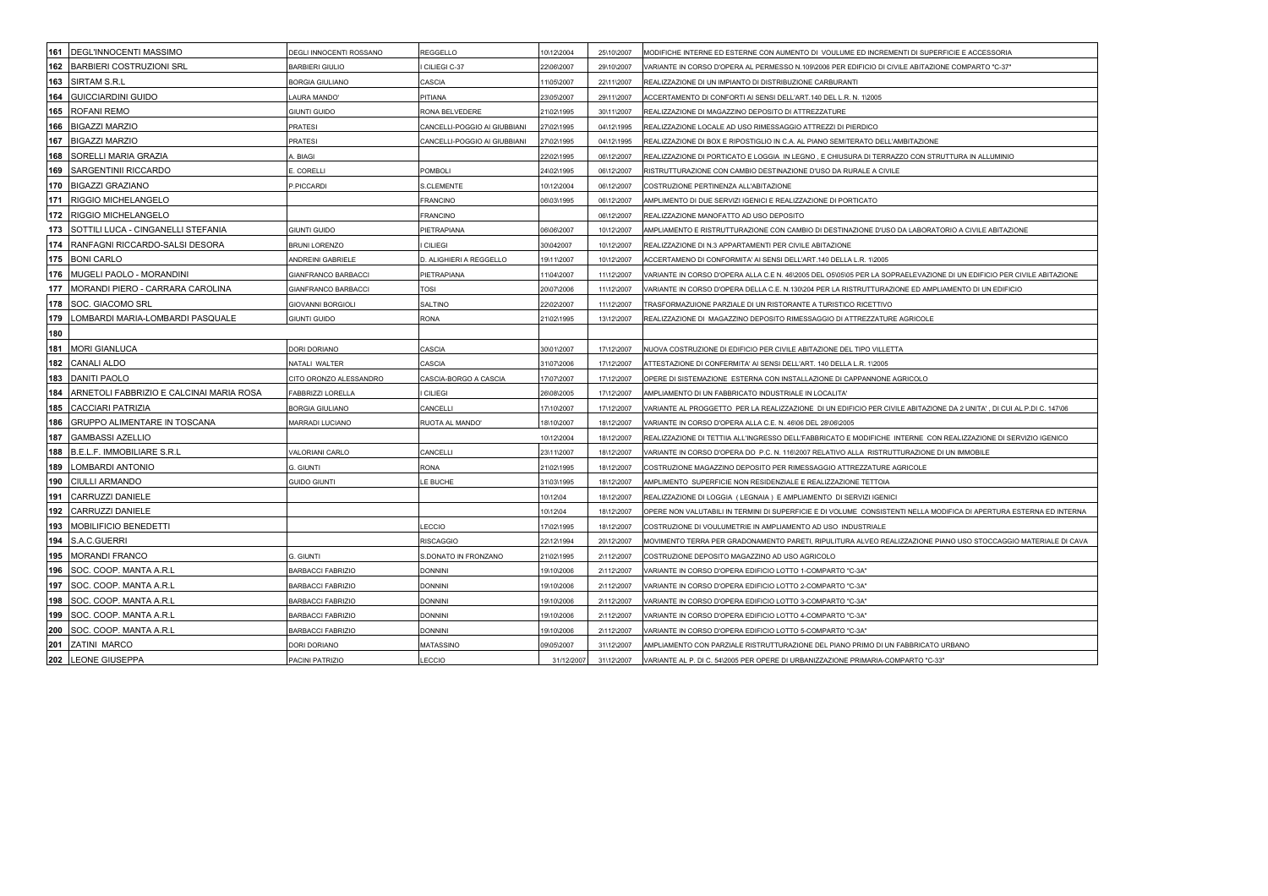|     | 161 DEGL'INNOCENTI MASSIMO               | DEGLI INNOCENTI ROSSANO    | REGGELLO                     | 10\12\2004 | 25\10\2007 | MODIFICHE INTERNE ED ESTERNE CON AUMENTO DI VOULUME ED INCREMENTI DI SUPERFICIE E ACCESSORIA                           |
|-----|------------------------------------------|----------------------------|------------------------------|------------|------------|------------------------------------------------------------------------------------------------------------------------|
|     | 162 BARBIERI COSTRUZIONI SRL             | <b>BARBIERI GIULIO</b>     | CILIEGI C-37                 | 22\06\2007 | 29\10\2007 | "C-37" VARIANTE IN CORSO D'OPERA AL PERMESSO N.109\2006 PER EDIFICIO DI CIVILE ABITAZIONE COMPARTO                     |
|     | 163 SIRTAM S.R.L                         | <b>BORGIA GIULIANO</b>     | CASCIA                       | 1\05\2007  | 22\11\2007 | REALIZZAZIONE DI UN IMPIANTO DI DISTRIBUZIONE CARBURANTI                                                               |
| 164 | <b>GUICCIARDINI GUIDO</b>                | AURA MANDO'                | <b>PITIANA</b>               | 23\05\2007 | 29\11\2007 | ACCERTAMENTO DI CONFORTI AI SENSI DELL'ART.140 DEL L.R. N. 1\2005                                                      |
|     | 165 ROFANI REMO                          | <b>GIUNTI GUIDO</b>        | <b>RONA BELVEDERE</b>        | 21\02\1995 | 30\11\2007 | REALIZZAZIONE DI MAGAZZINO DEPOSITO DI ATTREZZATURE                                                                    |
|     | 166 BIGAZZI MARZIO                       | PRATESI                    | CANCELLI-POGGIO AI GIUBBIANI | 27\02\1995 | 04\12\1995 | REALIZZAZIONE LOCALE AD USO RIMESSAGGIO ATTREZZI DI PIERDICO                                                           |
| 167 | <b>BIGAZZI MARZIO</b>                    | <b>PRATESI</b>             | CANCELLI-POGGIO AI GIUBBIANI | 27\02\1995 | 04\12\1995 | REALIZZAZIONE DI BOX E RIPOSTIGLIO IN C.A. AL PIANO SEMITERATO DELL'AMBITAZIONE                                        |
| 168 | SORELLI MARIA GRAZIA                     | . BIAGI                    |                              | 22\02\1995 | 06\12\2007 | REALIZZAZIONE DI PORTICATO E LOGGIA IN LEGNO, E CHIUSURA DI TERRAZZO CON STRUTTURA IN ALLUMINIO                        |
| 169 | SARGENTINII RICCARDO                     | . CORELLI                  | POMBOLI                      | 24\02\1995 | 06\12\2007 | RISTRUTTURAZIONE CON CAMBIO DESTINAZIONE D'USO DA RURALE A CIVILE                                                      |
| 170 | <b>BIGAZZI GRAZIANO</b>                  | PICCARDI                   | S.CLEMENTE                   | 10\12\2004 | 06\12\2007 | COSTRUZIONE PERTINENZA ALL'ABITAZIONE                                                                                  |
|     | 171 RIGGIO MICHELANGELO                  |                            | <b>FRANCINO</b>              | 06\03\1995 | 06\12\2007 | AMPLIMENTO DI DUE SERVIZI IGENICI E REALIZZAZIONE DI PORTICATO                                                         |
|     | 172 RIGGIO MICHELANGELO                  |                            | <b>FRANCINO</b>              |            | 06\12\2007 | REALIZZAZIONE MANOFATTO AD USO DEPOSITO                                                                                |
|     | 173 SOTTILI LUCA - CINGANELLI STEFANIA   | <b>GUNTI GUIDO</b>         | PIETRAPIANA                  | 06\06\2007 | 10\12\2007 | AMPLIAMENTO E RISTRUTTURAZIONE CON CAMBIO DI DESTINAZIONE D'USO DA LABORATORIO A CIVILE ABITAZIONE                     |
| 174 | RANFAGNI RICCARDO-SALSI DESORA           | BRUNI LORENZO              | <b>CILIEGI</b>               | 30\042007  | 10\12\2007 | REALIZZAZIONE DI N.3 APPARTAMENTI PER CIVILE ABITAZIONE                                                                |
|     | 175 BONI CARLO                           | ANDREINI GABRIELE          | D. ALIGHIERI A REGGELLO      | 19\11\2007 | 10\12\2007 | ACCERTAMENO DI CONFORMITA' AI SENSI DELL'ART.140 DELLA L.R. 1\2005                                                     |
|     | 176 MUGELI PAOLO - MORANDINI             | GIANFRANCO BARBACCI        | PIETRAPIANA                  | 1\04\2007  | 11\12\2007 | /ARIANTE IN CORSO D'OPERA ALLA C.E N. 46\2005 DEL O5\05\05 PER LA SOPRAELEVAZIONE DI UN EDIFICIO PER CIVILE ABITAZIONE |
|     | 177 MORANDI PIERO - CARRARA CAROLINA     | <b>GIANFRANCO BARBACCI</b> | TOSI                         | 20\07\2006 | 11\12\2007 | VARIANTE IN CORSO D'OPERA DELLA C.E. N.130\204 PER LA RISTRUTTURAZIONE ED AMPLIAMENTO DI UN EDIFICIO                   |
|     | 178 SOC. GIACOMO SRL                     | <b>GIOVANNI BORGIOL</b>    | SALTINO                      | 22\02\2007 | 11\12\2007 | <b>TRASFORMAZUIONE PARZIALE DI UN RISTORANTE A TURISTICO RICETTIVO</b>                                                 |
| 179 | LOMBARDI MARIA-LOMBARDI PASQUALE         | GIUNTI GUIDO               | RONA                         | 21\02\1995 | 13\12\2007 | REALIZZAZIONE DI MAGAZZINO DEPOSITO RIMESSAGGIO DI ATTREZZATURE AGRICOLE                                               |
| 180 |                                          |                            |                              |            |            |                                                                                                                        |
|     | 181 MORI GIANLUCA                        | DORI DORIANO               | CASCIA                       | 30\01\2007 | 17\12\2007 | NUOVA COSTRUZIONE DI EDIFICIO PER CIVILE ABITAZIONE DEL TIPO VILLETTA                                                  |
| 182 | <b>CANALI ALDO</b>                       | NATALI WALTER              | CASCIA                       | 31\07\2006 | 17\12\2007 | ATTESTAZIONE DI CONFERMITA' AI SENSI DELL'ART. 140 DELLA L.R. 1\2005                                                   |
| 183 | <b>DANITI PAOLO</b>                      | CITO ORONZO ALESSANDRO     | CASCIA-BORGO A CASCIA        | 17\07\2007 | 17\12\2007 | OPERE DI SISTEMAZIONE ESTERNA CON INSTALLAZIONE DI CAPPANNONE AGRICOLO                                                 |
| 184 | ARNETOLI FABBRIZIO E CALCINAI MARIA ROSA | FABBRIZZI LORELLA          | <b>CILIEGI</b>               | 26\08\2005 | 17\12\2007 | AMPLIAMENTO DI UN FABBRICATO INDUSTRIALE IN LOCALITA'                                                                  |
|     | <b>185 CACCIARI PATRIZIA</b>             | <b>BORGIA GIULIANO</b>     | CANCELLI                     | 17\10\2007 | 17\12\2007 | /ARIANTE AL PROGGETTO PER LA REALIZZAZIONE DI UN EDIFICIO PER CIVILE ABITAZIONE DA 2 UNITA', DI CUI AL P.DI C. 147\06  |
| 186 | GRUPPO ALIMENTARE IN TOSCANA             | <b>MARRADI LUCIANO</b>     | RUOTA AL MANDO'              | 18\10\2007 | 18\12\2007 | VARIANTE IN CORSO D'OPERA ALLA C.E. N. 46\06 DEL 28\06\2005                                                            |
| 187 | <b>GAMBASSI AZELLIO</b>                  |                            |                              | 10\12\2004 | 18\12\2007 | REALIZZAZIONE DI TETTIIA ALL'INGRESSO DELL'FABBRICATO E MODIFICHE INTERNE CON REALIZZAZIONE DI SERVIZIO IGENICO        |
| 188 | B.E.L.F. IMMOBILIARE S.R.L               | <b>VALORIANI CARLO</b>     | CANCELLI                     | 23\11\2007 | 18\12\2007 | /ARIANTE IN CORSO D'OPERA DO P.C. N. 116\2007 RELATIVO ALLA RISTRUTTURAZIONE DI UN IMMOBILE                            |
| 189 | <b>LOMBARDI ANTONIO</b>                  | GIUNTI                     | RONA                         | 21\02\1995 | 18\12\2007 | COSTRUZIONE MAGAZZINO DEPOSITO PER RIMESSAGGIO ATTREZZATURE AGRICOLE                                                   |
|     | 190 CIULLI ARMANDO                       | <b>GUIDO GIUNTI</b>        | E BUCHE                      | 31\03\1995 | 18\12\2007 | AMPLIMENTO SUPERFICIE NON RESIDENZIALE E REALIZZAZIONE TETTOIA                                                         |
| 191 | CARRUZZI DANIELE                         |                            |                              | 10\12\04   | 18\12\2007 | REALIZZAZIONE DI LOGGIA ( LEGNAIA ) E AMPLIAMENTO DI SERVIZI IGENICI                                                   |
|     | 192 CARRUZZI DANIELE                     |                            |                              | 10\12\04   | 18\12\2007 | OPERE NON VALUTABILI IN TERMINI DI SUPERFICIE E DI VOLUME CONSISTENTI NELLA MODIFICA DI APERTURA ESTERNA ED INTERNA    |
| 193 | MOBILIFICIO BENEDETTI                    |                            | LECCIO                       | 7\02\1995  | 18\12\2007 | COSTRUZIONE DI VOULUMETRIE IN AMPLIAMENTO AD USO INDUSTRIALE                                                           |
|     | 194 S.A.C.GUERRI                         |                            | RISCAGGIO                    | 22\12\1994 | 20\12\2007 | MOVIMENTO TERRA PER GRADONAMENTO PARETI, RIPULITURA ALVEO REALIZZAZIONE PIANO USO STOCCAGGIO MATERIALE DI CAVA         |
|     | 195 MORANDI FRANCO                       | G. GIUNTI                  | <b>S.DONATO IN FRONZANO</b>  | 21\02\1995 | 2\112\2007 | COSTRUZIONE DEPOSITO MAGAZZINO AD USO AGRICOLO                                                                         |
| 196 | SOC. COOP. MANTA A.R.L                   | <b>BARBACCI FABRIZIO</b>   | <b>DONNINI</b>               | 19\10\2006 | 2\112\2007 | VARIANTE IN CORSO D'OPERA EDIFICIO LOTTO 1-COMPARTO "C-3A"                                                             |
| 197 | SOC. COOP. MANTA A.R.L                   | BARBACCI FABRIZIO          | DONNINI                      | 19\10\2006 | 2\112\2007 | /ARIANTE IN CORSO D'OPERA EDIFICIO LOTTO 2-COMPARTO "C-3A"                                                             |
|     | 198 SOC. COOP. MANTA A.R.L               | BARBACCI FABRIZIO          | DONNINI                      | 9\10\2006  | 2\112\2007 | VARIANTE IN CORSO D'OPERA EDIFICIO LOTTO 3-COMPARTO "C-3A"                                                             |
|     | 199 SOC. COOP. MANTA A.R.L               | <b>BARBACCI FABRIZIO</b>   | DONNINI                      | 19\10\2006 | 2\112\2007 | VARIANTE IN CORSO D'OPERA EDIFICIO LOTTO 4-COMPARTO "C-3A"                                                             |
| 200 | SOC. COOP. MANTA A.R.L                   | <b>BARBACCI FABRIZIO</b>   | <b>DONNINI</b>               | 19\10\2006 | 2\112\2007 | VARIANTE IN CORSO D'OPERA EDIFICIO LOTTO 5-COMPARTO "C-3A"                                                             |
| 201 | <b>ZATINI MARCO</b>                      | DORI DORIANO               | <b>MATASSINO</b>             | 09\05\2007 | 31\12\2007 | AMPLIAMENTO CON PARZIALE RISTRUTTURAZIONE DEL PIANO PRIMO DI UN FABBRICATO URBANO                                      |
|     | 202 LEONE GIUSEPPA                       | PACINI PATRIZIO            | LECCIO                       | 31/12/2007 | 31\12\2007 | VARIANTE AL P. DI C. 54\2005 PER OPERE DI URBANIZZAZIONE PRIMARIA-COMPARTO "C-33"                                      |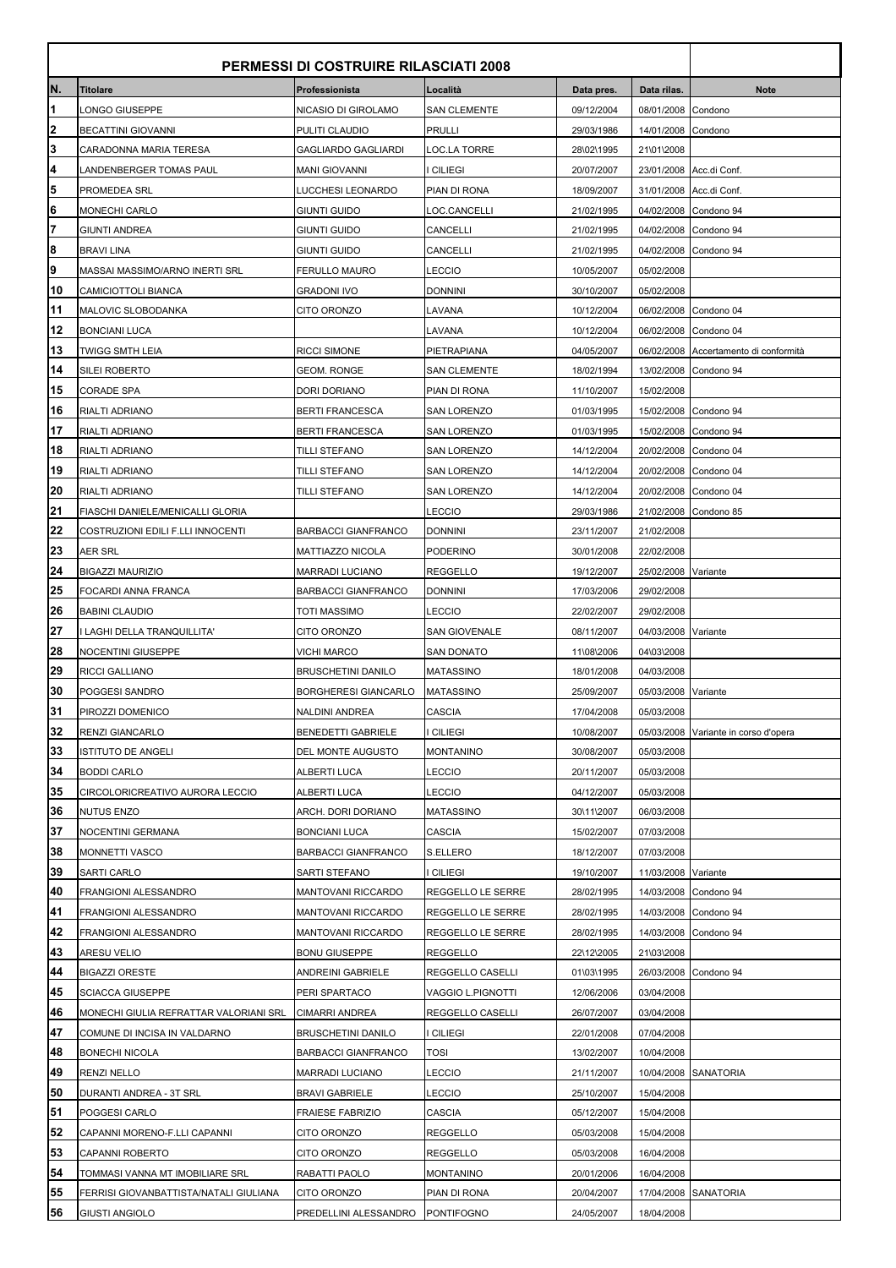|                         | <b>PERMESSI DI COSTRUIRE RILASCIATI 2008</b> |                            |                     |            |                         |                                      |
|-------------------------|----------------------------------------------|----------------------------|---------------------|------------|-------------------------|--------------------------------------|
| N.                      | <b>Titolare</b>                              | Professionista             | Località            | Data pres. | Data rilas.             | <b>Note</b>                          |
| $\overline{\mathbf{1}}$ | LONGO GIUSEPPE                               | NICASIO DI GIROLAMO        | <b>SAN CLEMENTE</b> | 09/12/2004 | 08/01/2008              | Condono                              |
| 2                       | <b>BECATTINI GIOVANNI</b>                    | PULITI CLAUDIO             | PRULLI              | 29/03/1986 | 14/01/2008              | Condono                              |
| 3                       | CARADONNA MARIA TERESA                       | <b>GAGLIARDO GAGLIARDI</b> | <b>LOC.LA TORRE</b> | 28\02\1995 | 21\01\2008              |                                      |
| 4                       | LANDENBERGER TOMAS PAUL                      | <b>MANI GIOVANNI</b>       | <b>I CILIEGI</b>    | 20/07/2007 | 23/01/2008 Acc.di Conf. |                                      |
| 5                       | PROMEDEA SRL                                 | LUCCHESI LEONARDO          | PIAN DI RONA        | 18/09/2007 | 31/01/2008 Acc.di Conf. |                                      |
| 6                       | <b>MONECHI CARLO</b>                         | <b>GIUNTI GUIDO</b>        | LOC.CANCELLI        | 21/02/1995 |                         | 04/02/2008 Condono 94                |
| $\overline{7}$          | <b>GIUNTI ANDREA</b>                         | GIUNTI GUIDO               | CANCELLI            | 21/02/1995 | 04/02/2008              | Condono 94                           |
| 8                       | <b>BRAVI LINA</b>                            | GIUNTI GUIDO               | CANCELLI            | 21/02/1995 | 04/02/2008              | Condono 94                           |
| $\bf{9}$                | MASSAI MASSIMO/ARNO INERTI SRL               | <b>FERULLO MAURO</b>       | <b>LECCIO</b>       | 10/05/2007 | 05/02/2008              |                                      |
| 10                      | CAMICIOTTOLI BIANCA                          | <b>GRADONI IVO</b>         | <b>DONNINI</b>      | 30/10/2007 | 05/02/2008              |                                      |
| 11                      | MALOVIC SLOBODANKA                           | CITO ORONZO                | LAVANA              | 10/12/2004 | 06/02/2008              | Condono 04                           |
| 12                      | <b>BONCIANI LUCA</b>                         |                            | LAVANA              | 10/12/2004 | 06/02/2008              | Condono 04                           |
| 13                      | <b>TWIGG SMTH LEIA</b>                       | <b>RICCI SIMONE</b>        | PIETRAPIANA         | 04/05/2007 | 06/02/2008              | Accertamento di conformità           |
| 14                      | <b>SILEI ROBERTO</b>                         | <b>GEOM. RONGE</b>         | <b>SAN CLEMENTE</b> | 18/02/1994 |                         | 13/02/2008 Condono 94                |
| 15                      | <b>CORADE SPA</b>                            | <b>DORI DORIANO</b>        | PIAN DI RONA        | 11/10/2007 | 15/02/2008              |                                      |
| 16                      |                                              | <b>BERTI FRANCESCA</b>     |                     |            | 15/02/2008              |                                      |
| 17                      | <b>RIALTI ADRIANO</b>                        |                            | <b>SAN LORENZO</b>  | 01/03/1995 | 15/02/2008              | Condono 94                           |
|                         | <b>RIALTI ADRIANO</b>                        | <b>BERTI FRANCESCA</b>     | <b>SAN LORENZO</b>  | 01/03/1995 |                         | Condono 94                           |
| 18                      | RIALTI ADRIANO                               | <b>TILLI STEFANO</b>       | <b>SAN LORENZO</b>  | 14/12/2004 | 20/02/2008              | Condono 04                           |
| 19                      | <b>RIALTI ADRIANO</b>                        | <b>TILLI STEFANO</b>       | SAN LORENZO         | 14/12/2004 | 20/02/2008              | Condono 04                           |
| 20                      | RIALTI ADRIANO                               | TILLI STEFANO              | <b>SAN LORENZO</b>  | 14/12/2004 | 20/02/2008              | Condono 04                           |
| 21                      | FIASCHI DANIELE/MENICALLI GLORIA             |                            | <b>LECCIO</b>       | 29/03/1986 | 21/02/2008              | Condono 85                           |
| 22                      | COSTRUZIONI EDILI F.LLI INNOCENTI            | <b>BARBACCI GIANFRANCO</b> | <b>DONNINI</b>      | 23/11/2007 | 21/02/2008              |                                      |
| 23                      | <b>AER SRL</b>                               | MATTIAZZO NICOLA           | <b>PODERINO</b>     | 30/01/2008 | 22/02/2008              |                                      |
| 24                      | <b>BIGAZZI MAURIZIO</b>                      | <b>MARRADI LUCIANO</b>     | <b>REGGELLO</b>     | 19/12/2007 | 25/02/2008 Variante     |                                      |
| 25                      | FOCARDI ANNA FRANCA                          | <b>BARBACCI GIANFRANCO</b> | <b>DONNINI</b>      | 17/03/2006 | 29/02/2008              |                                      |
| 26                      | <b>BABINI CLAUDIO</b>                        | TOTI MASSIMO               | LECCIO              | 22/02/2007 | 29/02/2008              |                                      |
| 27                      | I LAGHI DELLA TRANQUILLITA'                  | CITO ORONZO                | SAN GIOVENALE       | 08/11/2007 | 04/03/2008              | Variante                             |
| 28                      | NOCENTINI GIUSEPPE                           | <b>VICHI MARCO</b>         | SAN DONATO          | 11\08\2006 | 04\03\2008              |                                      |
| 29                      | <b>RICCI GALLIANO</b>                        | <b>BRUSCHETINI DANILO</b>  | <b>MATASSINO</b>    | 18/01/2008 | 04/03/2008              |                                      |
| 30                      | POGGESI SANDRO                               | BORGHERESI GIANCARLO       | <b>MATASSINO</b>    | 25/09/2007 | 05/03/2008              | Variante                             |
| 31                      | PIROZZI DOMENICO                             | NALDINI ANDREA             | CASCIA              | 17/04/2008 | 05/03/2008              |                                      |
| 32                      | <b>RENZI GIANCARLO</b>                       | <b>BENEDETTI GABRIELE</b>  | I CILIEGI           | 10/08/2007 |                         | 05/03/2008 Variante in corso d'opera |
| 33                      | <b>ISTITUTO DE ANGELI</b>                    | DEL MONTE AUGUSTO          | <b>MONTANINO</b>    | 30/08/2007 | 05/03/2008              |                                      |
| 34                      | <b>BODDI CARLO</b>                           | ALBERTI LUCA               | LECCIO              | 20/11/2007 | 05/03/2008              |                                      |
| 35                      | CIRCOLORICREATIVO AURORA LECCIO              | ALBERTI LUCA               | LECCIO              | 04/12/2007 | 05/03/2008              |                                      |
| 36                      | <b>NUTUS ENZO</b>                            | ARCH. DORI DORIANO         | MATASSINO           | 30\11\2007 | 06/03/2008              |                                      |
| 37                      | NOCENTINI GERMANA                            | <b>BONCIANI LUCA</b>       | <b>CASCIA</b>       | 15/02/2007 | 07/03/2008              |                                      |
| 38                      | <b>MONNETTI VASCO</b>                        | <b>BARBACCI GIANFRANCO</b> | S.ELLERO            | 18/12/2007 | 07/03/2008              |                                      |
| 39                      | SARTI CARLO                                  | SARTI STEFANO              | I CILIEGI           | 19/10/2007 | 11/03/2008              | Variante                             |
| 40                      | FRANGIONI ALESSANDRO                         | <b>MANTOVANI RICCARDO</b>  | REGGELLO LE SERRE   | 28/02/1995 |                         | 14/03/2008 Condono 94                |
| 41                      | FRANGIONI ALESSANDRO                         | <b>MANTOVANI RICCARDO</b>  | REGGELLO LE SERRE   | 28/02/1995 | 14/03/2008              | Condono 94                           |
| 42                      | FRANGIONI ALESSANDRO                         | MANTOVANI RICCARDO         | REGGELLO LE SERRE   | 28/02/1995 |                         | 14/03/2008 Condono 94                |
| 43                      | ARESU VELIO                                  | <b>BONU GIUSEPPE</b>       | REGGELLO            | 22\12\2005 | 21\03\2008              |                                      |
| 44                      | <b>BIGAZZI ORESTE</b>                        | ANDREINI GABRIELE          | REGGELLO CASELLI    | 01\03\1995 | 26/03/2008              | Condono 94                           |
| 45                      | <b>SCIACCA GIUSEPPE</b>                      | PERI SPARTACO              | VAGGIO L.PIGNOTTI   | 12/06/2006 | 03/04/2008              |                                      |
| 46                      | MONECHI GIULIA REFRATTAR VALORIANI SRL       | <b>CIMARRI ANDREA</b>      | REGGELLO CASELLI    | 26/07/2007 | 03/04/2008              |                                      |
| 47                      | COMUNE DI INCISA IN VALDARNO                 | <b>BRUSCHETINI DANILO</b>  | I CILIEGI           | 22/01/2008 | 07/04/2008              |                                      |
| 48                      | <b>BONECHI NICOLA</b>                        | <b>BARBACCI GIANFRANCO</b> | TOSI                | 13/02/2007 | 10/04/2008              |                                      |
| 49                      | <b>RENZI NELLO</b>                           | MARRADI LUCIANO            | LECCIO              | 21/11/2007 |                         | 10/04/2008 SANATORIA                 |
| 50                      | DURANTI ANDREA - 3T SRL                      | <b>BRAVI GABRIELE</b>      | LECCIO              | 25/10/2007 | 15/04/2008              |                                      |
| 51                      | POGGESI CARLO                                | <b>FRAIESE FABRIZIO</b>    | CASCIA              | 05/12/2007 | 15/04/2008              |                                      |
| 52                      | CAPANNI MORENO-F.LLI CAPANNI                 | CITO ORONZO                | REGGELLO            | 05/03/2008 | 15/04/2008              |                                      |
| 53                      | CAPANNI ROBERTO                              | CITO ORONZO                | REGGELLO            | 05/03/2008 | 16/04/2008              |                                      |
| 54                      | TOMMASI VANNA MT IMOBILIARE SRL              | RABATTI PAOLO              | <b>MONTANINO</b>    | 20/01/2006 | 16/04/2008              |                                      |
| 55                      | FERRISI GIOVANBATTISTA/NATALI GIULIANA       | CITO ORONZO                | PIAN DI RONA        | 20/04/2007 |                         | 17/04/2008 SANATORIA                 |
| 56                      | <b>GIUSTI ANGIOLO</b>                        | PREDELLINI ALESSANDRO      | <b>PONTIFOGNO</b>   | 24/05/2007 | 18/04/2008              |                                      |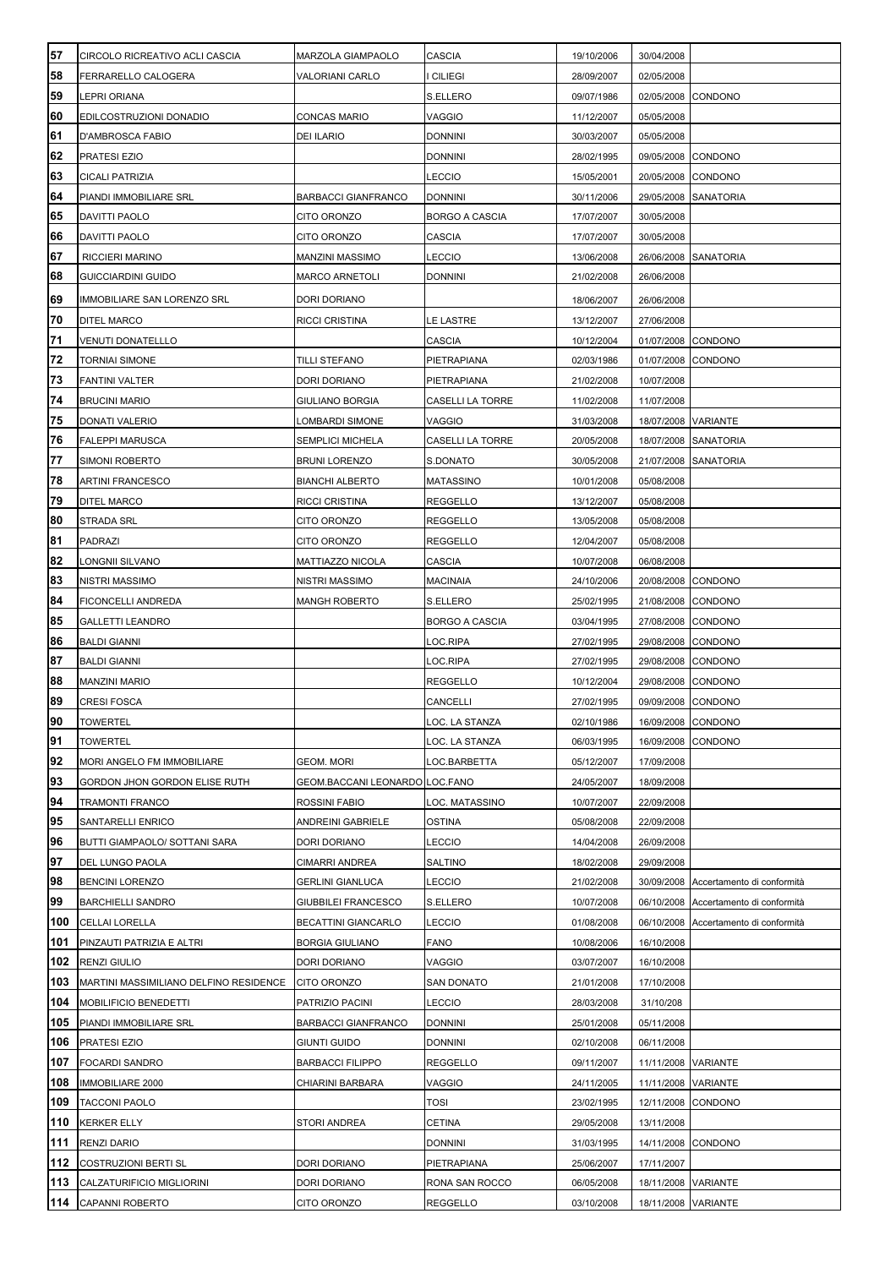| 57  | CIRCOLO RICREATIVO ACLI CASCIA         | <b>MARZOLA GIAMPAOLO</b>       | CASCIA                  | 19/10/2006 | 30/04/2008          |                            |
|-----|----------------------------------------|--------------------------------|-------------------------|------------|---------------------|----------------------------|
| 58  | <b>FERRARELLO CALOGERA</b>             | VALORIANI CARLO                | <b>CILIEGI</b>          | 28/09/2007 | 02/05/2008          |                            |
| 59  | LEPRI ORIANA                           |                                | S.ELLERO                | 09/07/1986 | 02/05/2008          | <b>CONDONO</b>             |
| 60  | EDILCOSTRUZIONI DONADIO                | <b>CONCAS MARIO</b>            | VAGGIO                  | 11/12/2007 | 05/05/2008          |                            |
| 61  | D'AMBROSCA FABIO                       | <b>DEI ILARIO</b>              | <b>DONNINI</b>          | 30/03/2007 | 05/05/2008          |                            |
| 62  | PRATESI EZIO                           |                                | <b>DONNINI</b>          | 28/02/1995 | 09/05/2008 CONDONO  |                            |
| 63  | CICALI PATRIZIA                        |                                | LECCIO                  | 15/05/2001 | 20/05/2008 CONDONO  |                            |
| 64  | PIANDI IMMOBILIARE SRL                 | <b>BARBACCI GIANFRANCO</b>     | <b>DONNINI</b>          | 30/11/2006 |                     | 29/05/2008 SANATORIA       |
| 65  | DAVITTI PAOLO                          | CITO ORONZO                    | <b>BORGO A CASCIA</b>   | 17/07/2007 | 30/05/2008          |                            |
| 66  | DAVITTI PAOLO                          | CITO ORONZO                    | <b>CASCIA</b>           | 17/07/2007 | 30/05/2008          |                            |
| 67  | <b>RICCIERI MARINO</b>                 | <b>MANZINI MASSIMO</b>         | LECCIO                  | 13/06/2008 |                     | 26/06/2008 SANATORIA       |
| 68  | <b>GUICCIARDINI GUIDO</b>              | <b>MARCO ARNETOLI</b>          | <b>DONNINI</b>          | 21/02/2008 | 26/06/2008          |                            |
| 69  | IMMOBILIARE SAN LORENZO SRL            | <b>DORI DORIANO</b>            |                         | 18/06/2007 | 26/06/2008          |                            |
| 70  | DITEL MARCO                            | <b>RICCI CRISTINA</b>          | LE LASTRE               | 13/12/2007 | 27/06/2008          |                            |
| 71  | <b>VENUTI DONATELLLO</b>               |                                | <b>CASCIA</b>           | 10/12/2004 | 01/07/2008 CONDONO  |                            |
| 72  | <b>TORNIAI SIMONE</b>                  | TILLI STEFANO                  | PIETRAPIANA             | 02/03/1986 | 01/07/2008          | <b>CONDONO</b>             |
| 73  | <b>FANTINI VALTER</b>                  | <b>DORI DORIANO</b>            | PIETRAPIANA             | 21/02/2008 | 10/07/2008          |                            |
| 74  | <b>BRUCINI MARIO</b>                   | GIULIANO BORGIA                | <b>CASELLI LA TORRE</b> | 11/02/2008 | 11/07/2008          |                            |
| 75  | DONATI VALERIO                         | LOMBARDI SIMONE                | VAGGIO                  | 31/03/2008 | 18/07/2008 VARIANTE |                            |
| 76  | <b>FALEPPI MARUSCA</b>                 | <b>SEMPLICI MICHELA</b>        | <b>CASELLI LA TORRE</b> | 20/05/2008 |                     | 18/07/2008 SANATORIA       |
| 77  | SIMONI ROBERTO                         | <b>BRUNI LORENZO</b>           | S.DONATO                | 30/05/2008 |                     | 21/07/2008 SANATORIA       |
| 78  | <b>ARTINI FRANCESCO</b>                | <b>BIANCHI ALBERTO</b>         | <b>MATASSINO</b>        | 10/01/2008 | 05/08/2008          |                            |
| 79  | DITEL MARCO                            | RICCI CRISTINA                 | <b>REGGELLO</b>         | 13/12/2007 | 05/08/2008          |                            |
| 80  | STRADA SRL                             | CITO ORONZO                    | <b>REGGELLO</b>         | 13/05/2008 | 05/08/2008          |                            |
| 81  | <b>PADRAZI</b>                         | CITO ORONZO                    | <b>REGGELLO</b>         | 12/04/2007 | 05/08/2008          |                            |
| 82  | LONGNII SILVANO                        | MATTIAZZO NICOLA               | <b>CASCIA</b>           | 10/07/2008 | 06/08/2008          |                            |
| 83  | NISTRI MASSIMO                         | NISTRI MASSIMO                 | <b>MACINAIA</b>         | 24/10/2006 | 20/08/2008 CONDONO  |                            |
| 84  | FICONCELLI ANDREDA                     | <b>MANGH ROBERTO</b>           | S.ELLERO                | 25/02/1995 | 21/08/2008 CONDONO  |                            |
| 85  | <b>GALLETTI LEANDRO</b>                |                                | <b>BORGO A CASCIA</b>   | 03/04/1995 | 27/08/2008 CONDONO  |                            |
| 86  | <b>BALDI GIANNI</b>                    |                                | LOC.RIPA                | 27/02/1995 | 29/08/2008 CONDONO  |                            |
| 87  | <b>BALDI GIANNI</b>                    |                                | LOC.RIPA                | 27/02/1995 | 29/08/2008 CONDONO  |                            |
| 88  | <b>MANZINI MARIO</b>                   |                                | <b>REGGELLO</b>         | 10/12/2004 | 29/08/2008 CONDONO  |                            |
| 89  | <b>CRESI FOSCA</b>                     |                                | CANCELLI                | 27/02/1995 | 09/09/2008 CONDONO  |                            |
| 90  | <b>TOWERTEL</b>                        |                                | LOC. LA STANZA          | 02/10/1986 | 16/09/2008 CONDONO  |                            |
| 91  | <b>TOWERTEL</b>                        |                                | LOC. LA STANZA          | 06/03/1995 | 16/09/2008          | CONDONO                    |
| 92  | MORI ANGELO FM IMMOBILIARE             | <b>GEOM. MORI</b>              | LOC.BARBETTA            | 05/12/2007 | 17/09/2008          |                            |
| 93  | GORDON JHON GORDON ELISE RUTH          | GEOM.BACCANI LEONARDO LOC.FANO |                         | 24/05/2007 | 18/09/2008          |                            |
| 94  | TRAMONTI FRANCO                        | ROSSINI FABIO                  | LOC. MATASSINO          | 10/07/2007 | 22/09/2008          |                            |
| 95  | SANTARELLI ENRICO                      | ANDREINI GABRIELE              | <b>OSTINA</b>           | 05/08/2008 | 22/09/2008          |                            |
| 96  | BUTTI GIAMPAOLO/ SOTTANI SARA          | DORI DORIANO                   | <b>LECCIO</b>           | 14/04/2008 | 26/09/2008          |                            |
| 97  | DEL LUNGO PAOLA                        | CIMARRI ANDREA                 | SALTINO                 | 18/02/2008 | 29/09/2008          |                            |
| 98  | <b>BENCINI LORENZO</b>                 | <b>GERLINI GIANLUCA</b>        | LECCIO                  | 21/02/2008 | 30/09/2008          | Accertamento di conformità |
| 99  | <b>BARCHIELLI SANDRO</b>               | GIUBBILEI FRANCESCO            | S.ELLERO                | 10/07/2008 | 06/10/2008          | Accertamento di conformità |
| 100 | CELLAI LORELLA                         | BECATTINI GIANCARLO            | <b>LECCIO</b>           | 01/08/2008 | 06/10/2008          | Accertamento di conformità |
| 101 | PINZAUTI PATRIZIA E ALTRI              | <b>BORGIA GIULIANO</b>         | <b>FANO</b>             | 10/08/2006 | 16/10/2008          |                            |
| 102 | <b>RENZI GIULIO</b>                    | DORI DORIANO                   | VAGGIO                  | 03/07/2007 | 16/10/2008          |                            |
| 103 | MARTINI MASSIMILIANO DELFINO RESIDENCE | CITO ORONZO                    | <b>SAN DONATO</b>       | 21/01/2008 | 17/10/2008          |                            |
| 104 | MOBILIFICIO BENEDETTI                  | PATRIZIO PACINI                | LECCIO                  | 28/03/2008 | 31/10/208           |                            |
| 105 | PIANDI IMMOBILIARE SRL                 | <b>BARBACCI GIANFRANCO</b>     | <b>DONNINI</b>          | 25/01/2008 | 05/11/2008          |                            |
| 106 | PRATESI EZIO                           | <b>GIUNTI GUIDO</b>            | <b>DONNINI</b>          | 02/10/2008 | 06/11/2008          |                            |
| 107 | FOCARDI SANDRO                         | <b>BARBACCI FILIPPO</b>        | <b>REGGELLO</b>         | 09/11/2007 | 11/11/2008          | <b>VARIANTE</b>            |
| 108 | IMMOBILIARE 2000                       | CHIARINI BARBARA               | VAGGIO                  | 24/11/2005 | 11/11/2008          | <b>VARIANTE</b>            |
| 109 | <b>TACCONI PAOLO</b>                   |                                | <b>TOSI</b>             | 23/02/1995 | 12/11/2008          | CONDONO                    |
| 110 | <b>KERKER ELLY</b>                     | STORI ANDREA                   | <b>CETINA</b>           | 29/05/2008 | 13/11/2008          |                            |
| 111 | <b>RENZI DARIO</b>                     |                                | <b>DONNINI</b>          | 31/03/1995 | 14/11/2008 CONDONO  |                            |
| 112 | <b>COSTRUZIONI BERTI SL</b>            | DORI DORIANO                   | PIETRAPIANA             | 25/06/2007 | 17/11/2007          |                            |
| 113 | CALZATURIFICIO MIGLIORINI              | DORI DORIANO                   | RONA SAN ROCCO          | 06/05/2008 | 18/11/2008          | <b>VARIANTE</b>            |
| 114 | CAPANNI ROBERTO                        | CITO ORONZO                    | <b>REGGELLO</b>         | 03/10/2008 | 18/11/2008 VARIANTE |                            |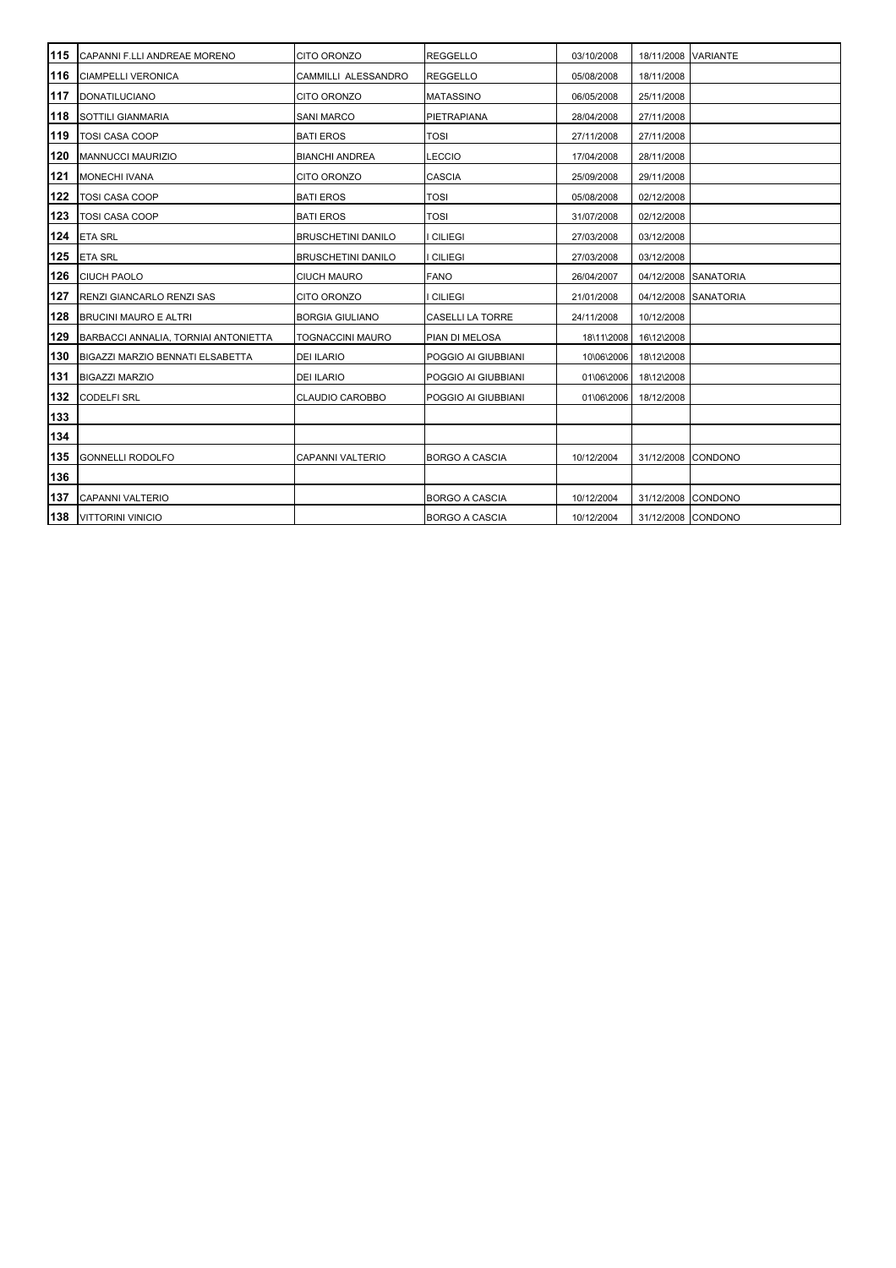|     | 115 CAPANNI F.LLI ANDREAE MORENO     | CITO ORONZO               | <b>REGGELLO</b>         | 03/10/2008 | 18/11/2008 VARIANTE |                      |
|-----|--------------------------------------|---------------------------|-------------------------|------------|---------------------|----------------------|
|     | <b>116</b> CIAMPELLI VERONICA        | CAMMILLI ALESSANDRO       | <b>REGGELLO</b>         | 05/08/2008 | 18/11/2008          |                      |
| 117 | <b>DONATILUCIANO</b>                 | CITO ORONZO               | <b>MATASSINO</b>        | 06/05/2008 | 25/11/2008          |                      |
|     | <b>118 SOTTILI GIANMARIA</b>         | <b>SANI MARCO</b>         | PIETRAPIANA             | 28/04/2008 | 27/11/2008          |                      |
| 119 | <b>TOSI CASA COOP</b>                | <b>BATI EROS</b>          | <b>TOSI</b>             | 27/11/2008 | 27/11/2008          |                      |
| 120 | <b>MANNUCCI MAURIZIO</b>             | <b>BIANCHI ANDREA</b>     | <b>LECCIO</b>           | 17/04/2008 | 28/11/2008          |                      |
| 121 | <b>MONECHI IVANA</b>                 | CITO ORONZO               | <b>CASCIA</b>           | 25/09/2008 | 29/11/2008          |                      |
| 122 | <b>TOSI CASA COOP</b>                | <b>BATI EROS</b>          | <b>TOSI</b>             | 05/08/2008 | 02/12/2008          |                      |
| 123 | <b>TOSI CASA COOP</b>                | <b>BATI EROS</b>          | <b>TOSI</b>             | 31/07/2008 | 02/12/2008          |                      |
| 124 | <b>ETA SRL</b>                       | <b>BRUSCHETINI DANILO</b> | <b>CILIEGI</b>          | 27/03/2008 | 03/12/2008          |                      |
| 125 | <b>ETA SRL</b>                       | <b>BRUSCHETINI DANILO</b> | <b>CILIEGI</b>          | 27/03/2008 | 03/12/2008          |                      |
| 126 | <b>CIUCH PAOLO</b>                   | <b>CIUCH MAURO</b>        | <b>FANO</b>             | 26/04/2007 |                     | 04/12/2008 SANATORIA |
| 127 | <b>RENZI GIANCARLO RENZI SAS</b>     | CITO ORONZO               | <b>CILIEGI</b>          | 21/01/2008 |                     | 04/12/2008 SANATORIA |
| 128 | <b>BRUCINI MAURO E ALTRI</b>         | <b>BORGIA GIULIANO</b>    | <b>CASELLI LA TORRE</b> | 24/11/2008 | 10/12/2008          |                      |
| 129 | BARBACCI ANNALIA, TORNIAI ANTONIETTA | <b>TOGNACCINI MAURO</b>   | PIAN DI MELOSA          | 18\11\2008 | 16\12\2008          |                      |
| 130 | BIGAZZI MARZIO BENNATI ELSABETTA     | <b>DEI ILARIO</b>         | POGGIO AI GIUBBIANI     | 10\06\2006 | 18\12\2008          |                      |
| 131 | <b>BIGAZZI MARZIO</b>                | <b>DEI ILARIO</b>         | POGGIO AI GIUBBIANI     | 01\06\2006 | 18\12\2008          |                      |
| 132 | <b>CODELFI SRL</b>                   | <b>CLAUDIO CAROBBO</b>    | POGGIO AI GIUBBIANI     | 01\06\2006 | 18/12/2008          |                      |
| 133 |                                      |                           |                         |            |                     |                      |
| 134 |                                      |                           |                         |            |                     |                      |
| 135 | <b>GONNELLI RODOLFO</b>              | <b>CAPANNI VALTERIO</b>   | <b>BORGO A CASCIA</b>   | 10/12/2004 | 31/12/2008 CONDONO  |                      |
| 136 |                                      |                           |                         |            |                     |                      |
| 137 | <b>CAPANNI VALTERIO</b>              |                           | <b>BORGO A CASCIA</b>   | 10/12/2004 | 31/12/2008 CONDONO  |                      |
|     | 138 VITTORINI VINICIO                |                           | <b>BORGO A CASCIA</b>   | 10/12/2004 | 31/12/2008 CONDONO  |                      |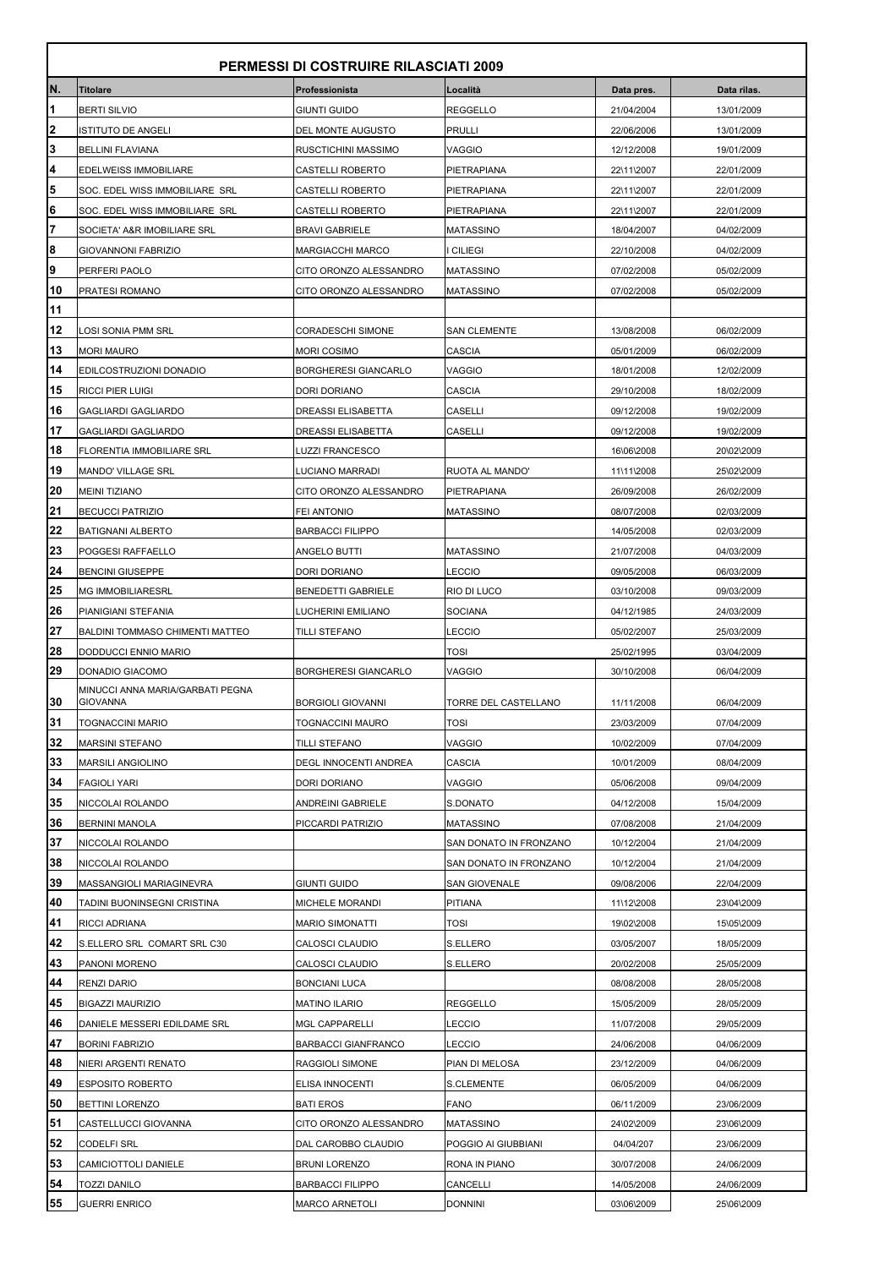|    |                                  | <b>PERMESSI DI COSTRUIRE RILASCIATI 2009</b> |                        |            |             |
|----|----------------------------------|----------------------------------------------|------------------------|------------|-------------|
| N. | <b>Titolare</b>                  | Professionista                               | Località               | Data pres. | Data rilas. |
| 1  | <b>BERTI SILVIO</b>              | <b>GIUNTI GUIDO</b>                          | <b>REGGELLO</b>        | 21/04/2004 | 13/01/2009  |
| 2  | ISTITUTO DE ANGELI               | DEL MONTE AUGUSTO                            | <b>PRULLI</b>          | 22/06/2006 | 13/01/2009  |
| 3  | <b>BELLINI FLAVIANA</b>          | RUSCTICHINI MASSIMO                          | <b>VAGGIO</b>          | 12/12/2008 | 19/01/2009  |
| 4  | EDELWEISS IMMOBILIARE            | <b>CASTELLI ROBERTO</b>                      | PIETRAPIANA            | 22\11\2007 | 22/01/2009  |
| 5  | SOC. EDEL WISS IMMOBILIARE SRL   | <b>CASTELLI ROBERTO</b>                      | PIETRAPIANA            | 22\11\2007 | 22/01/2009  |
| 6  | SOC. EDEL WISS IMMOBILIARE SRL   | <b>CASTELLI ROBERTO</b>                      | PIETRAPIANA            | 22\11\2007 | 22/01/2009  |
| 7  | SOCIETA' A&R IMOBILIARE SRL      | BRAVI GABRIELE                               | <b>MATASSINO</b>       | 18/04/2007 | 04/02/2009  |
| 8  | GIOVANNONI FABRIZIO              | <b>MARGIACCHI MARCO</b>                      | <b>CILIEGI</b>         | 22/10/2008 | 04/02/2009  |
| 9  | PERFERI PAOLO                    | CITO ORONZO ALESSANDRO                       | <b>MATASSINO</b>       | 07/02/2008 | 05/02/2009  |
| 10 | PRATESI ROMANO                   | CITO ORONZO ALESSANDRO                       | <b>MATASSINO</b>       | 07/02/2008 | 05/02/2009  |
| 11 |                                  |                                              |                        |            |             |
| 12 | LOSI SONIA PMM SRL               | <b>CORADESCHI SIMONE</b>                     | <b>SAN CLEMENTE</b>    | 13/08/2008 | 06/02/2009  |
| 13 | <b>MORI MAURO</b>                | <b>MORI COSIMO</b>                           | <b>CASCIA</b>          | 05/01/2009 | 06/02/2009  |
| 14 | EDILCOSTRUZIONI DONADIO          | <b>BORGHERESI GIANCARLO</b>                  | VAGGIO                 | 18/01/2008 | 12/02/2009  |
| 15 | RICCI PIER LUIGI                 | <b>DORI DORIANO</b>                          | <b>CASCIA</b>          | 29/10/2008 | 18/02/2009  |
| 16 | <b>GAGLIARDI GAGLIARDO</b>       | DREASSI ELISABETTA                           | CASELLI                | 09/12/2008 | 19/02/2009  |
| 17 | GAGLIARDI GAGLIARDO              | <b>DREASSI ELISABETTA</b>                    | CASELLI                | 09/12/2008 | 19/02/2009  |
| 18 | FLORENTIA IMMOBILIARE SRL        | <b>LUZZI FRANCESCO</b>                       |                        | 16\06\2008 | 20\02\2009  |
| 19 | <b>MANDO' VILLAGE SRL</b>        | LUCIANO MARRADI                              | <b>RUOTA AL MANDO'</b> | 11\11\2008 | 25\02\2009  |
| 20 | MEINI TIZIANO                    | CITO ORONZO ALESSANDRO                       | PIETRAPIANA            | 26/09/2008 | 26/02/2009  |
| 21 | <b>BECUCCI PATRIZIO</b>          | FEI ANTONIO                                  | <b>MATASSINO</b>       | 08/07/2008 | 02/03/2009  |
| 22 | BATIGNANI ALBERTO                | <b>BARBACCI FILIPPO</b>                      |                        | 14/05/2008 | 02/03/2009  |
| 23 | POGGESI RAFFAELLO                | <b>ANGELO BUTTI</b>                          | <b>MATASSINO</b>       | 21/07/2008 | 04/03/2009  |
| 24 | <b>BENCINI GIUSEPPE</b>          | <b>DORI DORIANO</b>                          | <b>LECCIO</b>          | 09/05/2008 | 06/03/2009  |
| 25 | MG IMMOBILIARESRL                | <b>BENEDETTI GABRIELE</b>                    | RIO DI LUCO            | 03/10/2008 | 09/03/2009  |
| 26 | PIANIGIANI STEFANIA              | LUCHERINI EMILIANO                           | <b>SOCIANA</b>         | 04/12/1985 | 24/03/2009  |
| 27 | BALDINI TOMMASO CHIMENTI MATTEO  | TILLI STEFANO                                | LECCIO                 | 05/02/2007 | 25/03/2009  |
| 28 | DODDUCCI ENNIO MARIO             |                                              | <b>TOSI</b>            | 25/02/1995 | 03/04/2009  |
| 29 | DONADIO GIACOMO                  | <b>BORGHERESI GIANCARLO</b>                  | <b>VAGGIO</b>          | 30/10/2008 | 06/04/2009  |
|    | MINUCCI ANNA MARIA/GARBATI PEGNA |                                              |                        |            |             |
| 30 | <b>GIOVANNA</b>                  | <b>BORGIOLI GIOVANNI</b>                     | TORRE DEL CASTELLANO   | 11/11/2008 | 06/04/2009  |
| 31 | TOGNACCINI MARIO                 | TOGNACCINI MAURO                             | <b>TOSI</b>            | 23/03/2009 | 07/04/2009  |
| 32 | MARSINI STEFANO                  | <b>TILLI STEFANO</b>                         | VAGGIO                 | 10/02/2009 | 07/04/2009  |
| 33 | <b>MARSILI ANGIOLINO</b>         | DEGL INNOCENTI ANDREA                        | CASCIA                 | 10/01/2009 | 08/04/2009  |
| 34 | <b>FAGIOLI YARI</b>              | DORI DORIANO                                 | VAGGIO                 | 05/06/2008 | 09/04/2009  |
| 35 | NICCOLAI ROLANDO                 | <b>ANDREINI GABRIELE</b>                     | S.DONATO               | 04/12/2008 | 15/04/2009  |
| 36 | <b>BERNINI MANOLA</b>            | PICCARDI PATRIZIO                            | <b>MATASSINO</b>       | 07/08/2008 | 21/04/2009  |
| 37 | NICCOLAI ROLANDO                 |                                              | SAN DONATO IN FRONZANO | 10/12/2004 | 21/04/2009  |
| 38 | NICCOLAI ROLANDO                 |                                              | SAN DONATO IN FRONZANO | 10/12/2004 | 21/04/2009  |
| 39 | MASSANGIOLI MARIAGINEVRA         | GIUNTI GUIDO                                 | SAN GIOVENALE          | 09/08/2006 | 22/04/2009  |
| 40 | TADINI BUONINSEGNI CRISTINA      | <b>MICHELE MORANDI</b>                       | <b>PITIANA</b>         | 11\12\2008 | 23\04\2009  |
| 41 | RICCI ADRIANA                    | MARIO SIMONATTI                              | TOSI                   | 19\02\2008 | 15\05\2009  |
| 42 | S.ELLERO SRL COMART SRL C30      | CALOSCI CLAUDIO                              | S.ELLERO               | 03/05/2007 | 18/05/2009  |
| 43 | PANONI MORENO                    | CALOSCI CLAUDIO                              | S.ELLERO               | 20/02/2008 | 25/05/2009  |
| 44 | RENZI DARIO                      | <b>BONCIANI LUCA</b>                         |                        | 08/08/2008 | 28/05/2008  |
| 45 | <b>BIGAZZI MAURIZIO</b>          | <b>MATINO ILARIO</b>                         | <b>REGGELLO</b>        | 15/05/2009 | 28/05/2009  |
| 46 | DANIELE MESSERI EDILDAME SRL     | MGL CAPPARELLI                               | <b>LECCIO</b>          | 11/07/2008 | 29/05/2009  |
| 47 | <b>BORINI FABRIZIO</b>           | <b>BARBACCI GIANFRANCO</b>                   | <b>LECCIO</b>          | 24/06/2008 | 04/06/2009  |
| 48 | NIERI ARGENTI RENATO             | RAGGIOLI SIMONE                              | PIAN DI MELOSA         | 23/12/2009 | 04/06/2009  |
| 49 | ESPOSITO ROBERTO                 | <b>ELISA INNOCENTI</b>                       | S.CLEMENTE             | 06/05/2009 | 04/06/2009  |
| 50 | <b>BETTINI LORENZO</b>           | <b>BATI EROS</b>                             | <b>FANO</b>            | 06/11/2009 | 23/06/2009  |
| 51 | CASTELLUCCI GIOVANNA             | CITO ORONZO ALESSANDRO                       | <b>MATASSINO</b>       | 24\02\2009 | 23\06\2009  |
| 52 | CODELFI SRL                      | DAL CAROBBO CLAUDIO                          | POGGIO AI GIUBBIANI    | 04/04/207  | 23/06/2009  |
| 53 | CAMICIOTTOLI DANIELE             | BRUNI LORENZO                                | RONA IN PIANO          | 30/07/2008 | 24/06/2009  |
| 54 | TOZZI DANILO                     | <b>BARBACCI FILIPPO</b>                      | CANCELLI               | 14/05/2008 | 24/06/2009  |
| 55 | <b>GUERRI ENRICO</b>             | <b>MARCO ARNETOLI</b>                        | <b>DONNINI</b>         | 03\06\2009 | 25\06\2009  |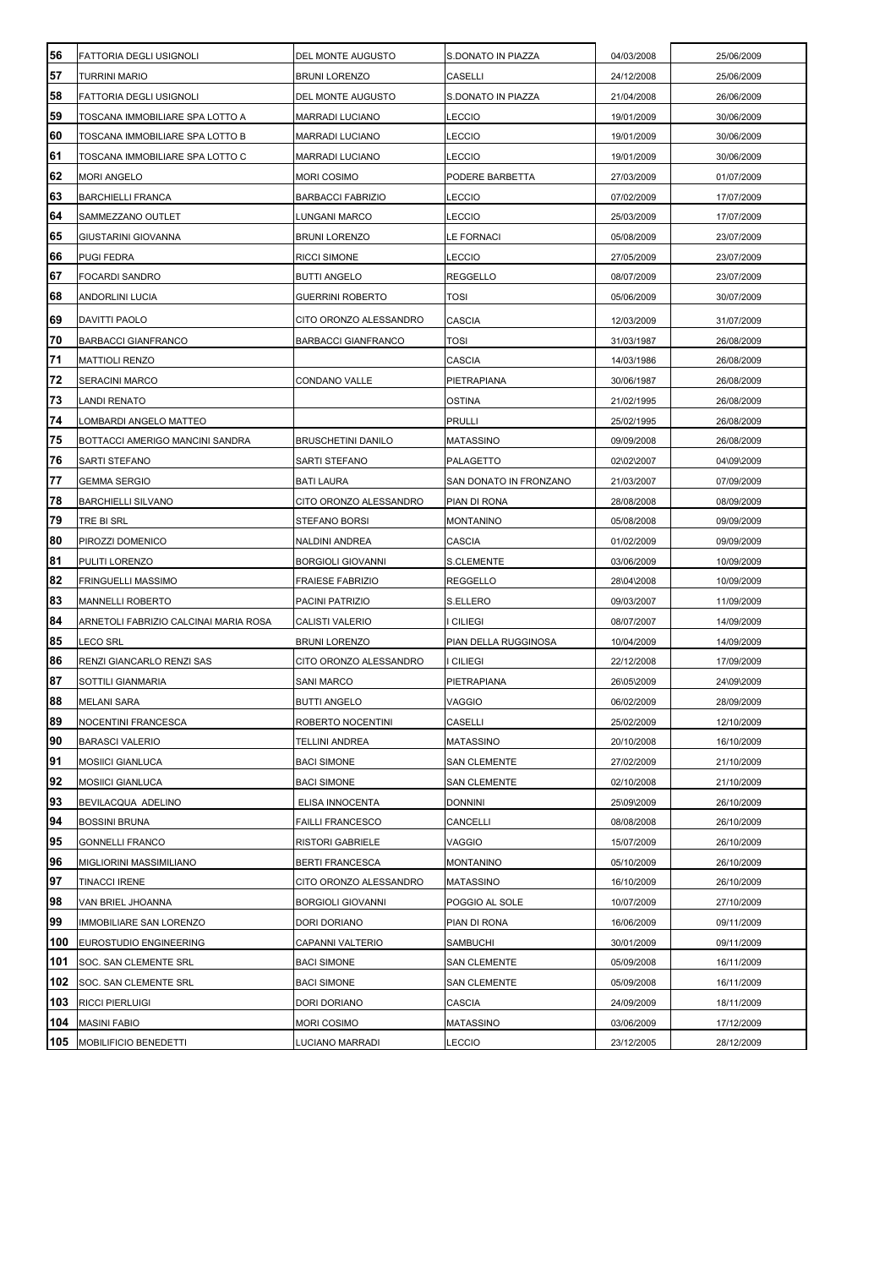| 56  | FATTORIA DEGLI USIGNOLI               | DEL MONTE AUGUSTO          | S.DONATO IN PIAZZA     | 04/03/2008 | 25/06/2009 |
|-----|---------------------------------------|----------------------------|------------------------|------------|------------|
| 57  | TURRINI MARIO                         | <b>BRUNI LORENZO</b>       | CASELLI                | 24/12/2008 | 25/06/2009 |
| 58  | FATTORIA DEGLI USIGNOLI               | DEL MONTE AUGUSTO          | S.DONATO IN PIAZZA     | 21/04/2008 | 26/06/2009 |
| 59  | TOSCANA IMMOBILIARE SPA LOTTO A       | MARRADI LUCIANO            | LECCIO                 | 19/01/2009 | 30/06/2009 |
| 60  | TOSCANA IMMOBILIARE SPA LOTTO B       | MARRADI LUCIANO            | LECCIO                 | 19/01/2009 | 30/06/2009 |
| 61  | TOSCANA IMMOBILIARE SPA LOTTO C       | MARRADI LUCIANO            | LECCIO                 | 19/01/2009 | 30/06/2009 |
| 62  | <b>MORI ANGELO</b>                    | MORI COSIMO                | PODERE BARBETTA        | 27/03/2009 | 01/07/2009 |
| 63  | <b>BARCHIELLI FRANCA</b>              | <b>BARBACCI FABRIZIO</b>   | LECCIO                 | 07/02/2009 | 17/07/2009 |
| 64  | SAMMEZZANO OUTLET                     | UNGANI MARCO               | <b>_ECCIO</b>          | 25/03/2009 | 17/07/2009 |
| 65  | GIUSTARINI GIOVANNA                   | <b>BRUNI LORENZO</b>       | <b>LE FORNACI</b>      | 05/08/2009 | 23/07/2009 |
| 66  | PUGI FEDRA                            | RICCI SIMONE               | LECCIO                 | 27/05/2009 | 23/07/2009 |
| 67  | FOCARDI SANDRO                        | <b>BUTTI ANGELO</b>        | REGGELLO               | 08/07/2009 | 23/07/2009 |
| 68  | ANDORLINI LUCIA                       | <b>GUERRINI ROBERTO</b>    | TOSI                   | 05/06/2009 | 30/07/2009 |
| 69  | DAVITTI PAOLO                         | CITO ORONZO ALESSANDRO     | CASCIA                 | 12/03/2009 | 31/07/2009 |
| 70  | <b>BARBACCI GIANFRANCO</b>            | <b>BARBACCI GIANFRANCO</b> | TOSI                   | 31/03/1987 | 26/08/2009 |
| 71  | MATTIOLI RENZO                        |                            | CASCIA                 | 14/03/1986 | 26/08/2009 |
| 72  | SERACINI MARCO                        | CONDANO VALLE              | PIETRAPIANA            | 30/06/1987 | 26/08/2009 |
| 73  | LANDI RENATO                          |                            | <b>OSTINA</b>          | 21/02/1995 | 26/08/2009 |
| 74  | LOMBARDI ANGELO MATTEO                |                            | PRULLI                 | 25/02/1995 | 26/08/2009 |
| 75  | BOTTACCI AMERIGO MANCINI SANDRA       | <b>BRUSCHETINI DANILO</b>  | <b>MATASSINO</b>       | 09/09/2008 | 26/08/2009 |
| 76  | SARTI STEFANO                         | SARTI STEFANO              | PALAGETTO              | 02\02\2007 | 04\09\2009 |
| 77  | <b>GEMMA SERGIO</b>                   | BATI LAURA                 | SAN DONATO IN FRONZANO | 21/03/2007 | 07/09/2009 |
| 78  | <b>BARCHIELLI SILVANO</b>             | CITO ORONZO ALESSANDRO     | PIAN DI RONA           | 28/08/2008 | 08/09/2009 |
| 79  | TRE BI SRL                            | STEFANO BORSI              | MONTANINO              | 05/08/2008 | 09/09/2009 |
| 80  | PIROZZI DOMENICO                      | NALDINI ANDREA             | CASCIA                 | 01/02/2009 | 09/09/2009 |
| 81  | PULITI LORENZO                        | BORGIOLI GIOVANNI          | <b>S.CLEMENTE</b>      | 03/06/2009 | 10/09/2009 |
| 82  | FRINGUELLI MASSIMO                    | FRAIESE FABRIZIO           | REGGELLO               | 28\04\2008 | 10/09/2009 |
| 83  | <b>MANNELLI ROBERTO</b>               | PACINI PATRIZIO            | S.ELLERO               | 09/03/2007 | 11/09/2009 |
| 84  | ARNETOLI FABRIZIO CALCINAI MARIA ROSA | CALISTI VALERIO            | I CILIEGI              | 08/07/2007 | 14/09/2009 |
| 85  | LECO SRL                              | <b>BRUNI LORENZO</b>       | PIAN DELLA RUGGINOSA   | 10/04/2009 | 14/09/2009 |
| 86  | RENZI GIANCARLO RENZI SAS             | CITO ORONZO ALESSANDRO     | <b>CILIEGI</b>         | 22/12/2008 | 17/09/2009 |
| 87  | SOTTILI GIANMARIA                     | <b>SANI MARCO</b>          | PIETRAPIANA            | 26\05\2009 | 24\09\2009 |
| 88  | <b>MELANI SARA</b>                    | <b>BUTTI ANGELO</b>        | VAGGIO                 | 06/02/2009 | 28/09/2009 |
| 89  | NOCENTINI FRANCESCA                   | ROBERTO NOCENTINI          | CASELLI                | 25/02/2009 | 12/10/2009 |
| 90  | <b>BARASCI VALERIO</b>                | TELLINI ANDREA             | MATASSINO              | 20/10/2008 | 16/10/2009 |
| 91  | MOSIICI GIANLUCA                      | <b>BACI SIMONE</b>         | <b>SAN CLEMENTE</b>    | 27/02/2009 | 21/10/2009 |
| 92  | MOSIICI GIANLUCA                      | <b>BACI SIMONE</b>         | <b>SAN CLEMENTE</b>    | 02/10/2008 | 21/10/2009 |
| 93  | BEVILACQUA ADELINO                    | ELISA INNOCENTA            | <b>DONNINI</b>         | 25\09\2009 | 26/10/2009 |
| 94  | BOSSINI BRUNA                         | FAILLI FRANCESCO           | CANCELLI               | 08/08/2008 | 26/10/2009 |
| 95  | <b>GONNELLI FRANCO</b>                | RISTORI GABRIELE           | VAGGIO                 | 15/07/2009 | 26/10/2009 |
| 96  | MIGLIORINI MASSIMILIANO               | <b>BERTI FRANCESCA</b>     | MONTANINO              | 05/10/2009 | 26/10/2009 |
| 97  | TINACCI IRENE                         | CITO ORONZO ALESSANDRO     | MATASSINO              | 16/10/2009 | 26/10/2009 |
| 98  | VAN BRIEL JHOANNA                     | BORGIOLI GIOVANNI          | POGGIO AL SOLE         | 10/07/2009 | 27/10/2009 |
| 99  | IMMOBILIARE SAN LORENZO               | DORI DORIANO               | PIAN DI RONA           | 16/06/2009 | 09/11/2009 |
| 100 | EUROSTUDIO ENGINEERING                | CAPANNI VALTERIO           | SAMBUCHI               | 30/01/2009 | 09/11/2009 |
| 101 | SOC. SAN CLEMENTE SRL                 | <b>BACI SIMONE</b>         | <b>SAN CLEMENTE</b>    | 05/09/2008 | 16/11/2009 |
| 102 | SOC. SAN CLEMENTE SRL                 | <b>BACI SIMONE</b>         | <b>SAN CLEMENTE</b>    | 05/09/2008 | 16/11/2009 |
| 103 | <b>RICCI PIERLUIGI</b>                | DORI DORIANO               | CASCIA                 | 24/09/2009 | 18/11/2009 |
| 104 | <b>MASINI FABIO</b>                   | MORI COSIMO                | MATASSINO              | 03/06/2009 | 17/12/2009 |
| 105 | MOBILIFICIO BENEDETTI                 | LUCIANO MARRADI            | LECCIO                 | 23/12/2005 | 28/12/2009 |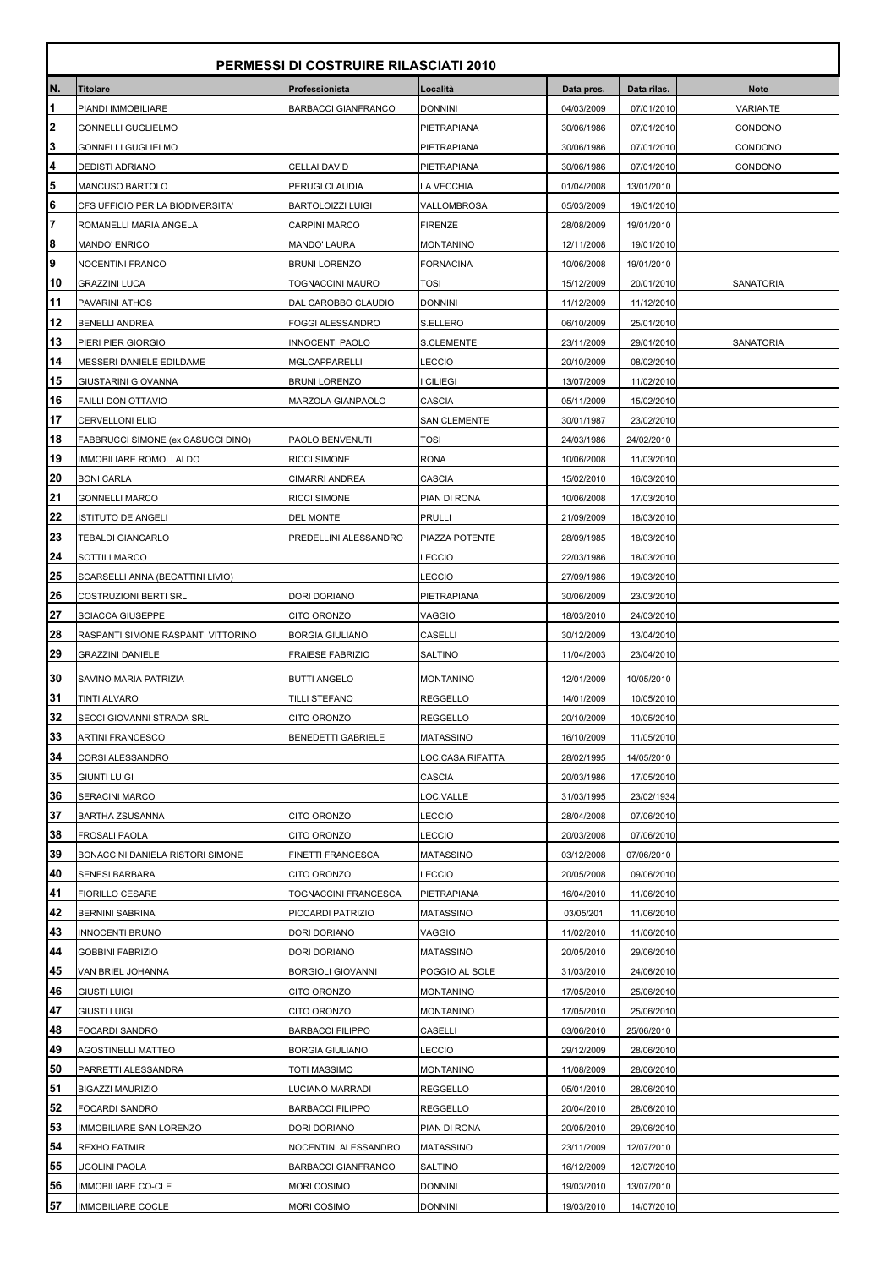|                         | <b>PERMESSI DI COSTRUIRE RILASCIATI 2010</b> |                            |                     |            |             |             |  |  |  |
|-------------------------|----------------------------------------------|----------------------------|---------------------|------------|-------------|-------------|--|--|--|
| N.                      | <b>Titolare</b>                              | Professionista             | Località            | Data pres. | Data rilas. | <b>Note</b> |  |  |  |
| 1                       | PIANDI IMMOBILIARE                           | <b>BARBACCI GIANFRANCO</b> | <b>DONNINI</b>      | 04/03/2009 | 07/01/2010  | VARIANTE    |  |  |  |
| $\overline{\mathbf{2}}$ | <b>GONNELLI GUGLIELMO</b>                    |                            | PIETRAPIANA         | 30/06/1986 | 07/01/2010  | CONDONO     |  |  |  |
| 3                       | <b>GONNELLI GUGLIELMO</b>                    |                            | PIETRAPIANA         | 30/06/1986 | 07/01/2010  | CONDONO     |  |  |  |
| $\overline{\mathbf{r}}$ | DEDISTI ADRIANO                              | CELLAI DAVID               | PIETRAPIANA         | 30/06/1986 | 07/01/2010  | CONDONO     |  |  |  |
| 5                       | MANCUSO BARTOLO                              | PERUGI CLAUDIA             | LA VECCHIA          | 01/04/2008 | 13/01/2010  |             |  |  |  |
| 6                       | CFS UFFICIO PER LA BIODIVERSITA'             | <b>BARTOLOIZZI LUIGI</b>   | VALLOMBROSA         | 05/03/2009 | 19/01/2010  |             |  |  |  |
| 7                       | ROMANELLI MARIA ANGELA                       | <b>CARPINI MARCO</b>       | <b>FIRENZE</b>      | 28/08/2009 | 19/01/2010  |             |  |  |  |
| 8                       | <b>MANDO' ENRICO</b>                         | <b>MANDO' LAURA</b>        | <b>MONTANINO</b>    | 12/11/2008 | 19/01/2010  |             |  |  |  |
| 9                       | NOCENTINI FRANCO                             | <b>BRUNI LORENZO</b>       | <b>FORNACINA</b>    | 10/06/2008 | 19/01/2010  |             |  |  |  |
| 10                      | <b>GRAZZINI LUCA</b>                         | TOGNACCINI MAURO           | TOSI                | 15/12/2009 | 20/01/2010  | SANATORIA   |  |  |  |
| 11                      | PAVARINI ATHOS                               | DAL CAROBBO CLAUDIO        | <b>DONNINI</b>      | 11/12/2009 | 11/12/2010  |             |  |  |  |
| 12                      | <b>BENELLI ANDREA</b>                        | FOGGI ALESSANDRO           | S.ELLERO            | 06/10/2009 | 25/01/2010  |             |  |  |  |
| 13                      | PIERI PIER GIORGIO                           | INNOCENTI PAOLO            | <b>S.CLEMENTE</b>   | 23/11/2009 | 29/01/2010  | SANATORIA   |  |  |  |
| 14                      | MESSERI DANIELE EDILDAME                     | MGLCAPPARELLI              | LECCIO              | 20/10/2009 | 08/02/2010  |             |  |  |  |
| 15                      | <b>GIUSTARINI GIOVANNA</b>                   | <b>BRUNI LORENZO</b>       | <b>CILIEGI</b>      | 13/07/2009 | 11/02/2010  |             |  |  |  |
| 16                      | FAILLI DON OTTAVIO                           | MARZOLA GIANPAOLO          | CASCIA              | 05/11/2009 | 15/02/2010  |             |  |  |  |
| 17                      | CERVELLONI ELIO                              |                            | <b>SAN CLEMENTE</b> | 30/01/1987 | 23/02/2010  |             |  |  |  |
| 18                      | FABBRUCCI SIMONE (ex CASUCCI DINO)           | PAOLO BENVENUTI            | TOSI                | 24/03/1986 | 24/02/2010  |             |  |  |  |
| 19                      | IMMOBILIARE ROMOLI ALDO                      | <b>RICCI SIMONE</b>        | <b>RONA</b>         | 10/06/2008 | 11/03/2010  |             |  |  |  |
|                         |                                              |                            |                     |            |             |             |  |  |  |
| 20<br>21                | <b>BONI CARLA</b><br><b>GONNELLI MARCO</b>   | CIMARRI ANDREA             | <b>CASCIA</b>       | 15/02/2010 | 16/03/2010  |             |  |  |  |
|                         |                                              | <b>RICCI SIMONE</b>        | PIAN DI RONA        | 10/06/2008 | 17/03/2010  |             |  |  |  |
| 22                      | ISTITUTO DE ANGELI                           | <b>DEL MONTE</b>           | PRULLI              | 21/09/2009 | 18/03/2010  |             |  |  |  |
| 23                      | TEBALDI GIANCARLO                            | PREDELLINI ALESSANDRO      | PIAZZA POTENTE      | 28/09/1985 | 18/03/2010  |             |  |  |  |
| 24                      | SOTTILI MARCO                                |                            | LECCIO              | 22/03/1986 | 18/03/2010  |             |  |  |  |
| 25                      | SCARSELLI ANNA (BECATTINI LIVIO)             |                            | LECCIO              | 27/09/1986 | 19/03/2010  |             |  |  |  |
| 26                      | COSTRUZIONI BERTI SRL                        | DORI DORIANO               | PIETRAPIANA         | 30/06/2009 | 23/03/2010  |             |  |  |  |
| 27                      | SCIACCA GIUSEPPE                             | CITO ORONZO                | VAGGIO              | 18/03/2010 | 24/03/2010  |             |  |  |  |
| 28                      | RASPANTI SIMONE RASPANTI VITTORINO           | <b>BORGIA GIULIANO</b>     | CASELLI             | 30/12/2009 | 13/04/2010  |             |  |  |  |
| 29                      | <b>GRAZZINI DANIELE</b>                      | <b>FRAIESE FABRIZIO</b>    | SALTINO             | 11/04/2003 | 23/04/2010  |             |  |  |  |
| 30                      | <b>SAVINO MARIA PATRIZIA</b>                 | <b>BUTTI ANGELO</b>        | <b>MONTANINO</b>    | 12/01/2009 | 10/05/2010  |             |  |  |  |
| 31                      | TINTI ALVARO                                 | TILLI STEFANO              | REGGELLO            | 14/01/2009 | 10/05/2010  |             |  |  |  |
| 32                      | SECCI GIOVANNI STRADA SRL                    | CITO ORONZO                | REGGELLO            | 20/10/2009 | 10/05/2010  |             |  |  |  |
| 33                      | ARTINI FRANCESCO                             | <b>BENEDETTI GABRIELE</b>  | MATASSINO           | 16/10/2009 | 11/05/2010  |             |  |  |  |
| 34                      | CORSI ALESSANDRO                             |                            | LOC.CASA RIFATTA    | 28/02/1995 | 14/05/2010  |             |  |  |  |
| 35                      | <b>GIUNTI LUIGI</b>                          |                            | CASCIA              | 20/03/1986 | 17/05/2010  |             |  |  |  |
| 36                      | SERACINI MARCO                               |                            | LOC.VALLE           | 31/03/1995 | 23/02/1934  |             |  |  |  |
| 37                      | <b>BARTHA ZSUSANNA</b>                       | CITO ORONZO                | LECCIO              | 28/04/2008 | 07/06/2010  |             |  |  |  |
| 38                      | FROSALI PAOLA                                | CITO ORONZO                | <b>ECCIO</b>        | 20/03/2008 | 07/06/2010  |             |  |  |  |
| 39                      | BONACCINI DANIELA RISTORI SIMONE             | FINETTI FRANCESCA          | MATASSINO           | 03/12/2008 | 07/06/2010  |             |  |  |  |
| 40                      | <b>SENESI BARBARA</b>                        | CITO ORONZO                | LECCIO              | 20/05/2008 | 09/06/2010  |             |  |  |  |
| 41                      | FIORILLO CESARE                              | TOGNACCINI FRANCESCA       | PIETRAPIANA         | 16/04/2010 | 11/06/2010  |             |  |  |  |
| 42                      | <b>BERNINI SABRINA</b>                       | PICCARDI PATRIZIO          | <b>MATASSINO</b>    | 03/05/201  | 11/06/2010  |             |  |  |  |
| 43                      | <b>INNOCENTI BRUNO</b>                       | DORI DORIANO               | VAGGIO              | 11/02/2010 | 11/06/2010  |             |  |  |  |
| 44                      | <b>GOBBINI FABRIZIO</b>                      | DORI DORIANO               | <b>MATASSINO</b>    | 20/05/2010 | 29/06/2010  |             |  |  |  |
| 45                      | VAN BRIEL JOHANNA                            | <b>BORGIOLI GIOVANNI</b>   | POGGIO AL SOLE      | 31/03/2010 | 24/06/2010  |             |  |  |  |
| 46                      | <b>GIUSTI LUIGI</b>                          | CITO ORONZO                | <b>MONTANINO</b>    | 17/05/2010 | 25/06/2010  |             |  |  |  |
| 47                      | <b>GIUSTI LUIGI</b>                          | CITO ORONZO                | <b>MONTANINO</b>    | 17/05/2010 | 25/06/2010  |             |  |  |  |
| 48                      | FOCARDI SANDRO                               | <b>BARBACCI FILIPPO</b>    | CASELLI             | 03/06/2010 | 25/06/2010  |             |  |  |  |
| 49                      | AGOSTINELLI MATTEO                           | <b>BORGIA GIULIANO</b>     | LECCIO              | 29/12/2009 | 28/06/2010  |             |  |  |  |
| 50                      |                                              |                            |                     |            |             |             |  |  |  |
| 51                      | PARRETTI ALESSANDRA                          | TOTI MASSIMO               | MONTANINO           | 11/08/2009 | 28/06/2010  |             |  |  |  |
|                         | <b>BIGAZZI MAURIZIO</b>                      | LUCIANO MARRADI            | REGGELLO            | 05/01/2010 | 28/06/2010  |             |  |  |  |
| 52<br>53                | FOCARDI SANDRO                               | BARBACCI FILIPPO           | REGGELLO            | 20/04/2010 | 28/06/2010  |             |  |  |  |
|                         | IMMOBILIARE SAN LORENZO                      | DORI DORIANO               | PIAN DI RONA        | 20/05/2010 | 29/06/2010  |             |  |  |  |
| 54                      | <b>REXHO FATMIR</b>                          | NOCENTINI ALESSANDRO       | <b>MATASSINO</b>    | 23/11/2009 | 12/07/2010  |             |  |  |  |
| 55                      | UGOLINI PAOLA                                | <b>BARBACCI GIANFRANCO</b> | SALTINO             | 16/12/2009 | 12/07/2010  |             |  |  |  |
| 56                      | IMMOBILIARE CO-CLE                           | MORI COSIMO                | <b>DONNINI</b>      | 19/03/2010 | 13/07/2010  |             |  |  |  |
| 57                      | <b>IMMOBILIARE COCLE</b>                     | MORI COSIMO                | <b>DONNINI</b>      | 19/03/2010 | 14/07/2010  |             |  |  |  |